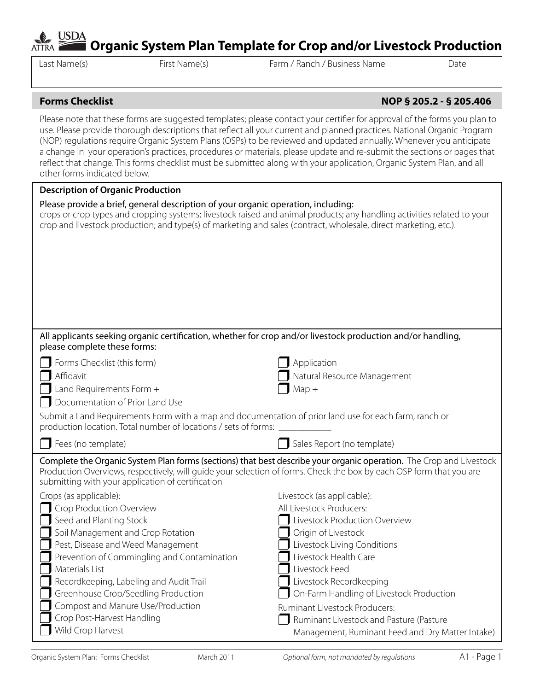**Organic System Plan Template for Crop and/or Livestock Production**

Last Name(s) First Name(s) Farm / Ranch / Business Name

**Forms Checklist** No. 2005.2 - \$1,205.406

Please note that these forms are suggested templates; please contact your certifier for approval of the forms you plan to use. Please provide thorough descriptions that reflect all your current and planned practices. National Organic Program (NOP) regulations require Organic System Plans (OSPs) to be reviewed and updated annually. Whenever you anticipate a change in your operation's practices, procedures or materials, please update and re-submit the sections or pages that reflect that change. This forms checklist must be submitted along with your application, Organic System Plan, and all other forms indicated below.

| <b>Description of Organic Production</b>                                                                                                                                                                                                                                                                                         |                                                  |  |
|----------------------------------------------------------------------------------------------------------------------------------------------------------------------------------------------------------------------------------------------------------------------------------------------------------------------------------|--------------------------------------------------|--|
| Please provide a brief, general description of your organic operation, including:<br>crops or crop types and cropping systems; livestock raised and animal products; any handling activities related to your<br>crop and livestock production; and type(s) of marketing and sales (contract, wholesale, direct marketing, etc.). |                                                  |  |
|                                                                                                                                                                                                                                                                                                                                  |                                                  |  |
| All applicants seeking organic certification, whether for crop and/or livestock production and/or handling,<br>please complete these forms:                                                                                                                                                                                      |                                                  |  |
| Forms Checklist (this form)                                                                                                                                                                                                                                                                                                      | Application                                      |  |
| Affidavit                                                                                                                                                                                                                                                                                                                        | Natural Resource Management                      |  |
| Land Requirements Form +                                                                                                                                                                                                                                                                                                         | $Map +$                                          |  |
| Documentation of Prior Land Use                                                                                                                                                                                                                                                                                                  |                                                  |  |
|                                                                                                                                                                                                                                                                                                                                  |                                                  |  |
| Submit a Land Requirements Form with a map and documentation of prior land use for each farm, ranch or<br>production location. Total number of locations / sets of forms:                                                                                                                                                        |                                                  |  |
| Fees (no template)                                                                                                                                                                                                                                                                                                               | Sales Report (no template)                       |  |
| Complete the Organic System Plan forms (sections) that best describe your organic operation. The Crop and Livestock<br>Production Overviews, respectively, will guide your selection of forms. Check the box by each OSP form that you are<br>submitting with your application of certification                                  |                                                  |  |
| Crops (as applicable):                                                                                                                                                                                                                                                                                                           | Livestock (as applicable):                       |  |
| Crop Production Overview                                                                                                                                                                                                                                                                                                         | All Livestock Producers:                         |  |
| Seed and Planting Stock                                                                                                                                                                                                                                                                                                          | Livestock Production Overview                    |  |
| Soil Management and Crop Rotation                                                                                                                                                                                                                                                                                                | Origin of Livestock                              |  |
| Pest, Disease and Weed Management                                                                                                                                                                                                                                                                                                | Livestock Living Conditions                      |  |
| Prevention of Commingling and Contamination                                                                                                                                                                                                                                                                                      | Livestock Health Care                            |  |
| Materials List                                                                                                                                                                                                                                                                                                                   | Livestock Feed                                   |  |
| Recordkeeping, Labeling and Audit Trail                                                                                                                                                                                                                                                                                          | Livestock Recordkeeping                          |  |
| Greenhouse Crop/Seedling Production                                                                                                                                                                                                                                                                                              | On-Farm Handling of Livestock Production         |  |
| Compost and Manure Use/Production                                                                                                                                                                                                                                                                                                | Ruminant Livestock Producers:                    |  |
| Crop Post-Harvest Handling                                                                                                                                                                                                                                                                                                       | Ruminant Livestock and Pasture (Pasture          |  |
| Wild Crop Harvest                                                                                                                                                                                                                                                                                                                | Management, Ruminant Feed and Dry Matter Intake) |  |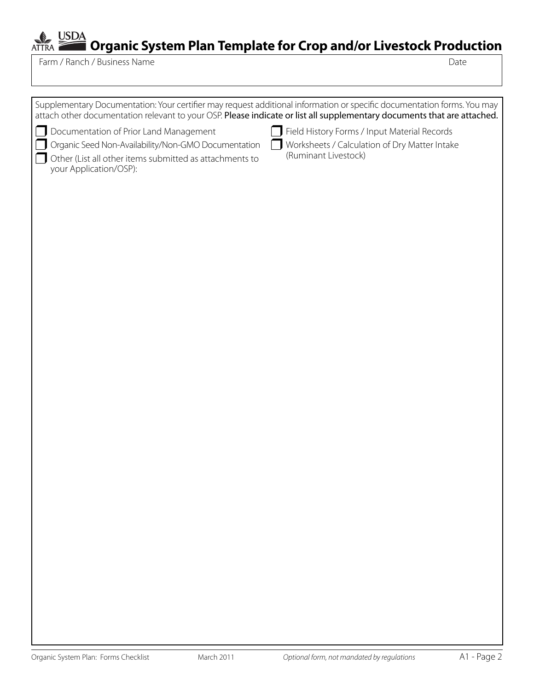# **USDA Organic System Plan Template for Crop and/or Livestock Production**

Farm / Ranch / Business Name Date

J. ATTR/

|                                                                                   | Supplementary Documentation: Your certifier may request additional information or specific documentation forms. You may<br>attach other documentation relevant to your OSP. Please indicate or list all supplementary documents that are attached. |
|-----------------------------------------------------------------------------------|----------------------------------------------------------------------------------------------------------------------------------------------------------------------------------------------------------------------------------------------------|
| Documentation of Prior Land Management                                            | Field History Forms / Input Material Records                                                                                                                                                                                                       |
| Organic Seed Non-Availability/Non-GMO Documentation                               | Worksheets / Calculation of Dry Matter Intake                                                                                                                                                                                                      |
| Other (List all other items submitted as attachments to<br>your Application/OSP): | (Ruminant Livestock)                                                                                                                                                                                                                               |
|                                                                                   |                                                                                                                                                                                                                                                    |
|                                                                                   |                                                                                                                                                                                                                                                    |
|                                                                                   |                                                                                                                                                                                                                                                    |
|                                                                                   |                                                                                                                                                                                                                                                    |
|                                                                                   |                                                                                                                                                                                                                                                    |
|                                                                                   |                                                                                                                                                                                                                                                    |
|                                                                                   |                                                                                                                                                                                                                                                    |
|                                                                                   |                                                                                                                                                                                                                                                    |
|                                                                                   |                                                                                                                                                                                                                                                    |
|                                                                                   |                                                                                                                                                                                                                                                    |
|                                                                                   |                                                                                                                                                                                                                                                    |
|                                                                                   |                                                                                                                                                                                                                                                    |
|                                                                                   |                                                                                                                                                                                                                                                    |
|                                                                                   |                                                                                                                                                                                                                                                    |
|                                                                                   |                                                                                                                                                                                                                                                    |
|                                                                                   |                                                                                                                                                                                                                                                    |
|                                                                                   |                                                                                                                                                                                                                                                    |
|                                                                                   |                                                                                                                                                                                                                                                    |
|                                                                                   |                                                                                                                                                                                                                                                    |
|                                                                                   |                                                                                                                                                                                                                                                    |
|                                                                                   |                                                                                                                                                                                                                                                    |
|                                                                                   |                                                                                                                                                                                                                                                    |
|                                                                                   |                                                                                                                                                                                                                                                    |
|                                                                                   |                                                                                                                                                                                                                                                    |
|                                                                                   |                                                                                                                                                                                                                                                    |
|                                                                                   |                                                                                                                                                                                                                                                    |
|                                                                                   |                                                                                                                                                                                                                                                    |
|                                                                                   |                                                                                                                                                                                                                                                    |
|                                                                                   |                                                                                                                                                                                                                                                    |
|                                                                                   |                                                                                                                                                                                                                                                    |
|                                                                                   |                                                                                                                                                                                                                                                    |
|                                                                                   |                                                                                                                                                                                                                                                    |
|                                                                                   |                                                                                                                                                                                                                                                    |
|                                                                                   |                                                                                                                                                                                                                                                    |
|                                                                                   |                                                                                                                                                                                                                                                    |
|                                                                                   |                                                                                                                                                                                                                                                    |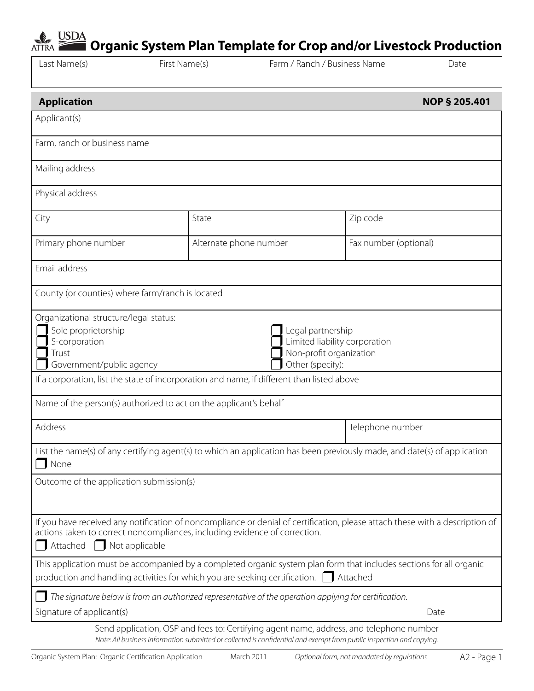# **Organic System Plan Template for Crop and/or Livestock Production**

| Last Name(s)                                                                                                        | First Name(s)                 | Farm / Ranch / Business Name                                                                                                                                                                                    |                       | Date                 |
|---------------------------------------------------------------------------------------------------------------------|-------------------------------|-----------------------------------------------------------------------------------------------------------------------------------------------------------------------------------------------------------------|-----------------------|----------------------|
| <b>Application</b>                                                                                                  |                               |                                                                                                                                                                                                                 |                       | <b>NOP § 205.401</b> |
| Applicant(s)                                                                                                        |                               |                                                                                                                                                                                                                 |                       |                      |
| Farm, ranch or business name                                                                                        |                               |                                                                                                                                                                                                                 |                       |                      |
| Mailing address                                                                                                     |                               |                                                                                                                                                                                                                 |                       |                      |
| Physical address                                                                                                    |                               |                                                                                                                                                                                                                 |                       |                      |
| City                                                                                                                | State                         |                                                                                                                                                                                                                 | Zip code              |                      |
| Primary phone number                                                                                                |                               | Alternate phone number                                                                                                                                                                                          | Fax number (optional) |                      |
| Email address                                                                                                       |                               |                                                                                                                                                                                                                 |                       |                      |
| County (or counties) where farm/ranch is located                                                                    |                               |                                                                                                                                                                                                                 |                       |                      |
| Organizational structure/legal status:<br>Sole proprietorship<br>S-corporation<br>Trust<br>Government/public agency |                               | Legal partnership<br>Limited liability corporation<br>Non-profit organization<br>Other (specify):                                                                                                               |                       |                      |
|                                                                                                                     |                               | If a corporation, list the state of incorporation and name, if different than listed above                                                                                                                      |                       |                      |
| Name of the person(s) authorized to act on the applicant's behalf                                                   |                               |                                                                                                                                                                                                                 |                       |                      |
| Address                                                                                                             |                               |                                                                                                                                                                                                                 | Telephone number      |                      |
| None<br>- 1                                                                                                         |                               | List the name(s) of any certifying agent(s) to which an application has been previously made, and date(s) of application                                                                                        |                       |                      |
| Outcome of the application submission(s)                                                                            |                               |                                                                                                                                                                                                                 |                       |                      |
| Attached [                                                                                                          | $\blacksquare$ Not applicable | If you have received any notification of noncompliance or denial of certification, please attach these with a description of<br>actions taken to correct noncompliances, including evidence of correction.      |                       |                      |
|                                                                                                                     |                               | This application must be accompanied by a completed organic system plan form that includes sections for all organic<br>production and handling activities for which you are seeking certification.              | Attached              |                      |
| Signature of applicant(s)                                                                                           |                               | The signature below is from an authorized representative of the operation applying for certification.                                                                                                           |                       | Date                 |
|                                                                                                                     |                               | Send application, OSP and fees to: Certifying agent name, address, and telephone number<br>Note: All business information submitted or collected is confidential and exempt from public inspection and copying. |                       |                      |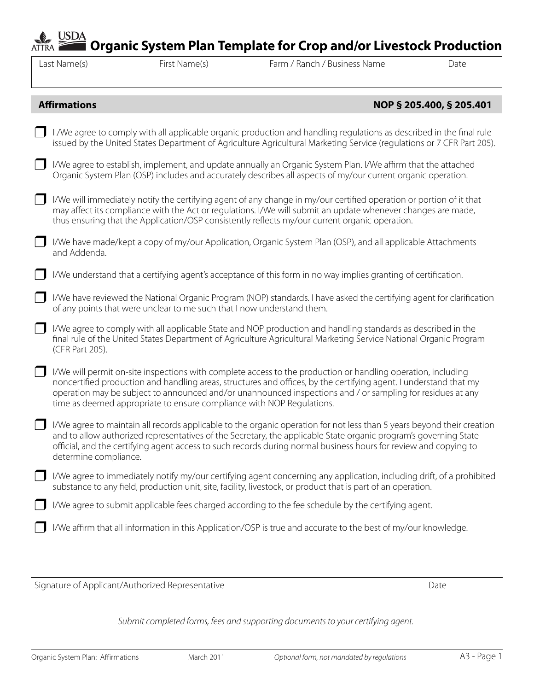## USDA **Organic System Plan Template for Crop and/or Livestock Production**

en E ATTR

Last Name(s) First Name(s) Farm / Ranch / Business Name

# **Affirmations Affirmations NOP § 205.400, § 205.401**

|        | I /We agree to comply with all applicable organic production and handling regulations as described in the final rule<br>issued by the United States Department of Agriculture Agricultural Marketing Service (regulations or 7 CFR Part 205).                                                                                                                                                                            |
|--------|--------------------------------------------------------------------------------------------------------------------------------------------------------------------------------------------------------------------------------------------------------------------------------------------------------------------------------------------------------------------------------------------------------------------------|
|        | I/We agree to establish, implement, and update annually an Organic System Plan. I/We affirm that the attached<br>Organic System Plan (OSP) includes and accurately describes all aspects of my/our current organic operation.                                                                                                                                                                                            |
|        | I/We will immediately notify the certifying agent of any change in my/our certified operation or portion of it that<br>may affect its compliance with the Act or regulations. I/We will submit an update whenever changes are made,<br>thus ensuring that the Application/OSP consistently reflects my/our current organic operation.                                                                                    |
|        | I/We have made/kept a copy of my/our Application, Organic System Plan (OSP), and all applicable Attachments<br>and Addenda.                                                                                                                                                                                                                                                                                              |
|        | I/We understand that a certifying agent's acceptance of this form in no way implies granting of certification.                                                                                                                                                                                                                                                                                                           |
|        | I/We have reviewed the National Organic Program (NOP) standards. I have asked the certifying agent for clarification<br>of any points that were unclear to me such that I now understand them.                                                                                                                                                                                                                           |
|        | I/We agree to comply with all applicable State and NOP production and handling standards as described in the<br>final rule of the United States Department of Agriculture Agricultural Marketing Service National Organic Program<br>(CFR Part 205).                                                                                                                                                                     |
| $\Box$ | I/We will permit on-site inspections with complete access to the production or handling operation, including<br>noncertified production and handling areas, structures and offices, by the certifying agent. I understand that my<br>operation may be subject to announced and/or unannounced inspections and / or sampling for residues at any<br>time as deemed appropriate to ensure compliance with NOP Requlations. |
| $\Box$ | I/We agree to maintain all records applicable to the organic operation for not less than 5 years beyond their creation<br>and to allow authorized representatives of the Secretary, the applicable State organic program's governing State<br>official, and the certifying agent access to such records during normal business hours for review and copying to<br>determine compliance.                                  |
|        | I/We agree to immediately notify my/our certifying agent concerning any application, including drift, of a prohibited<br>substance to any field, production unit, site, facility, livestock, or product that is part of an operation.                                                                                                                                                                                    |
|        | I/We agree to submit applicable fees charged according to the fee schedule by the certifying agent.                                                                                                                                                                                                                                                                                                                      |
|        | I/We affirm that all information in this Application/OSP is true and accurate to the best of my/our knowledge.                                                                                                                                                                                                                                                                                                           |

Signature of Applicant/Authorized Representative and the Date Date Date

*Submit completed forms, fees and supporting documents to your certifying agent.*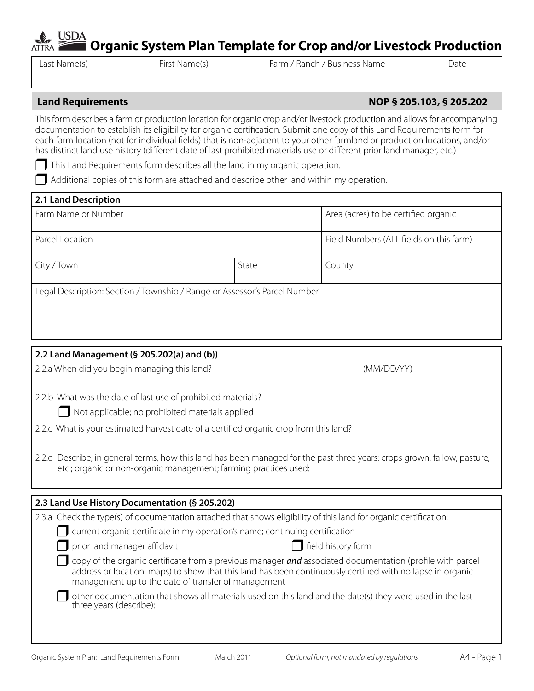# **Organic System Plan Template for Crop and/or Livestock Production**

Last Name(s) First Name(s) Farm / Ranch / Business Name Date

# **Land Requirements NOP § 205.103, § 205.202**

This form describes a farm or production location for organic crop and/or livestock production and allows for accompanying documentation to establish its eligibility for organic certification. Submit one copy of this Land Requirements form for each farm location (not for individual fields) that is non-adjacent to your other farmland or production locations, and/or has distinct land use history (different date of last prohibited materials use or different prior land manager, etc.)

This Land Requirements form describes all the land in my organic operation.

Additional copies of this form are attached and describe other land within my operation.

| 2.1 Land Description                                                                                                                                                                                     |       |                                         |
|----------------------------------------------------------------------------------------------------------------------------------------------------------------------------------------------------------|-------|-----------------------------------------|
| Farm Name or Number                                                                                                                                                                                      |       | Area (acres) to be certified organic    |
| Parcel Location                                                                                                                                                                                          |       | Field Numbers (ALL fields on this farm) |
| City / Town                                                                                                                                                                                              | State | County                                  |
| Legal Description: Section / Township / Range or Assessor's Parcel Number                                                                                                                                |       |                                         |
| 2.2 Land Management (§ 205.202(a) and (b))                                                                                                                                                               |       |                                         |
| 2.2.a When did you begin managing this land?                                                                                                                                                             |       | (MM/DD/YY)                              |
| 2.2.b What was the date of last use of prohibited materials?<br>Not applicable; no prohibited materials applied<br>2.2.c What is your estimated harvest date of a certified organic crop from this land? |       |                                         |

2.2.d Describe, in general terms, how this land has been managed for the past three years: crops grown, fallow, pasture, etc.; organic or non-organic management; farming practices used:

# **2.3 Land Use History Documentation (§ 205.202)** 2.3.a Check the type(s) of documentation attached that shows eligibility of this land for organic certification: current organic certificate in my operation's name; continuing certification prior land manager affidavit  $\Box$  field history form copy of the organic certificate from a previous manager *and* associated documentation (profile with parcel address or location, maps) to show that this land has been continuously certified with no lapse in organic management up to the date of transfer of management other documentation that shows all materials used on this land and the date(s) they were used in the last three years (describe):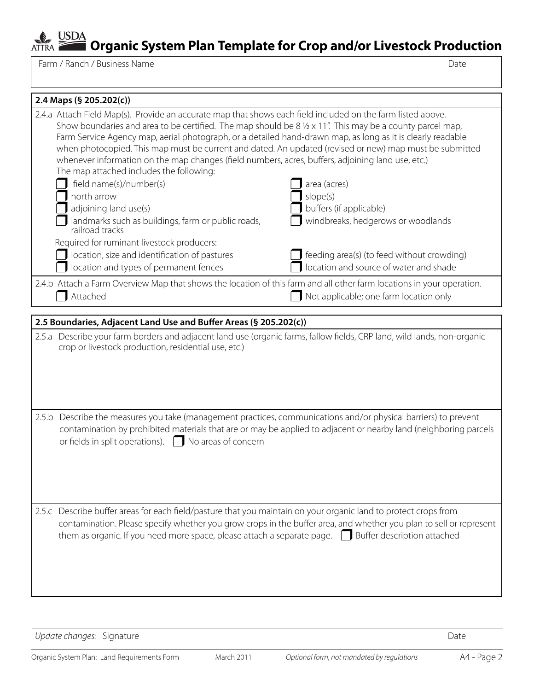# ATTR **USDA**

# **Organic System Plan Template for Crop and/or Livestock Production**

Farm / Ranch / Business Name Date

| 2.4 Maps (§ 205.202(c))                                                                                                                                                                                                                                                                                                                                                                                                                                                                                                                                                                                            |                                                                                                                    |
|--------------------------------------------------------------------------------------------------------------------------------------------------------------------------------------------------------------------------------------------------------------------------------------------------------------------------------------------------------------------------------------------------------------------------------------------------------------------------------------------------------------------------------------------------------------------------------------------------------------------|--------------------------------------------------------------------------------------------------------------------|
| 2.4.a Attach Field Map(s). Provide an accurate map that shows each field included on the farm listed above.<br>Show boundaries and area to be certified. The map should be $8\frac{1}{2} \times 11$ ". This may be a county parcel map,<br>Farm Service Agency map, aerial photograph, or a detailed hand-drawn map, as long as it is clearly readable<br>when photocopied. This map must be current and dated. An updated (revised or new) map must be submitted<br>whenever information on the map changes (field numbers, acres, buffers, adjoining land use, etc.)<br>The map attached includes the following: |                                                                                                                    |
| field name(s)/number(s)                                                                                                                                                                                                                                                                                                                                                                                                                                                                                                                                                                                            | area (acres)                                                                                                       |
| north arrow                                                                                                                                                                                                                                                                                                                                                                                                                                                                                                                                                                                                        | slope(s)                                                                                                           |
| adjoining land use(s)                                                                                                                                                                                                                                                                                                                                                                                                                                                                                                                                                                                              | buffers (if applicable)                                                                                            |
| landmarks such as buildings, farm or public roads,<br>railroad tracks                                                                                                                                                                                                                                                                                                                                                                                                                                                                                                                                              | windbreaks, hedgerows or woodlands                                                                                 |
| Required for ruminant livestock producers:                                                                                                                                                                                                                                                                                                                                                                                                                                                                                                                                                                         |                                                                                                                    |
| location, size and identification of pastures<br>location and types of permanent fences                                                                                                                                                                                                                                                                                                                                                                                                                                                                                                                            | feeding area(s) (to feed without crowding)<br>location and source of water and shade                               |
| 2.4.b Attach a Farm Overview Map that shows the location of this farm and all other farm locations in your operation.<br>Attached                                                                                                                                                                                                                                                                                                                                                                                                                                                                                  | Not applicable; one farm location only                                                                             |
|                                                                                                                                                                                                                                                                                                                                                                                                                                                                                                                                                                                                                    |                                                                                                                    |
| 2.5 Boundaries, Adjacent Land Use and Buffer Areas (§ 205.202(c))                                                                                                                                                                                                                                                                                                                                                                                                                                                                                                                                                  |                                                                                                                    |
| 2.5.a Describe your farm borders and adjacent land use (organic farms, fallow fields, CRP land, wild lands, non-organic<br>crop or livestock production, residential use, etc.)                                                                                                                                                                                                                                                                                                                                                                                                                                    |                                                                                                                    |
| Describe the measures you take (management practices, communications and/or physical barriers) to prevent<br>2.5.b<br>or fields in split operations). $\Box$ No areas of concern                                                                                                                                                                                                                                                                                                                                                                                                                                   | contamination by prohibited materials that are or may be applied to adjacent or nearby land (neighboring parcels   |
| 2.5.c Describe buffer areas for each field/pasture that you maintain on your organic land to protect crops from<br>them as organic. If you need more space, please attach a separate page. $\Box$ Buffer description attached                                                                                                                                                                                                                                                                                                                                                                                      | contamination. Please specify whether you grow crops in the buffer area, and whether you plan to sell or represent |

Update changes: Signature Date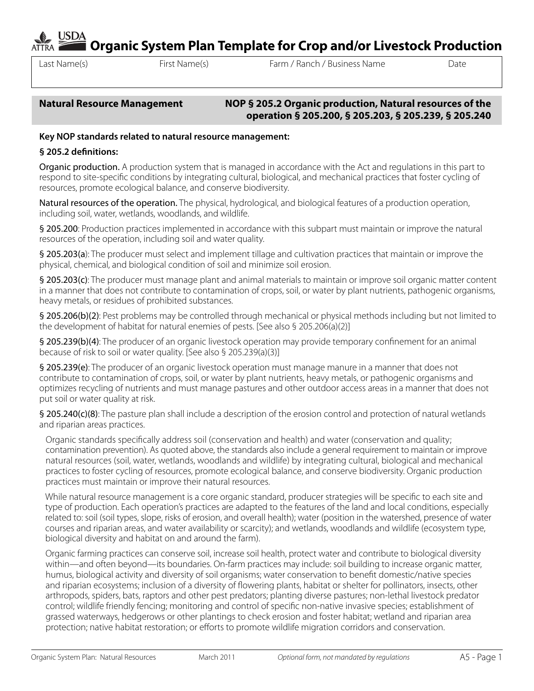**Organic System Plan Template for Crop and/or Livestock Production**

Last Name(s) First Name(s) Farm / Ranch / Business Name Date

# **Natural Resource Management NOP § 205.2 Organic production, Natural resources of the operation § 205.200, § 205.203, § 205.239, § 205.240**

## **Key NOP standards related to natural resource management:**

## **§ 205.2 defi nitions:**

Organic production. A production system that is managed in accordance with the Act and requlations in this part to respond to site-specific conditions by integrating cultural, biological, and mechanical practices that foster cycling of resources, promote ecological balance, and conserve biodiversity.

Natural resources of the operation. The physical, hydrological, and biological features of a production operation, including soil, water, wetlands, woodlands, and wildlife.

§ 205.200: Production practices implemented in accordance with this subpart must maintain or improve the natural resources of the operation, including soil and water quality.

§ 205.203(a): The producer must select and implement tillage and cultivation practices that maintain or improve the physical, chemical, and biological condition of soil and minimize soil erosion.

§ 205.203(c): The producer must manage plant and animal materials to maintain or improve soil organic matter content in a manner that does not contribute to contamination of crops, soil, or water by plant nutrients, pathogenic organisms, heavy metals, or residues of prohibited substances.

§ 205.206(b)(2): Pest problems may be controlled through mechanical or physical methods including but not limited to the development of habitat for natural enemies of pests. [See also § 205.206(a)(2)]

§ 205.239(b)(4): The producer of an organic livestock operation may provide temporary confinement for an animal because of risk to soil or water quality. [See also § 205.239(a)(3)]

§ 205.239(e): The producer of an organic livestock operation must manage manure in a manner that does not contribute to contamination of crops, soil, or water by plant nutrients, heavy metals, or pathogenic organisms and optimizes recycling of nutrients and must manage pastures and other outdoor access areas in a manner that does not put soil or water quality at risk.

§ 205.240(c)(8): The pasture plan shall include a description of the erosion control and protection of natural wetlands and riparian areas practices.

Organic standards specifically address soil (conservation and health) and water (conservation and quality; contamination prevention). As quoted above, the standards also include a general requirement to maintain or improve natural resources (soil, water, wetlands, woodlands and wildlife) by integrating cultural, biological and mechanical practices to foster cycling of resources, promote ecological balance, and conserve biodiversity. Organic production practices must maintain or improve their natural resources.

While natural resource management is a core organic standard, producer strategies will be specific to each site and type of production. Each operation's practices are adapted to the features of the land and local conditions, especially related to: soil (soil types, slope, risks of erosion, and overall health); water (position in the watershed, presence of water courses and riparian areas, and water availability or scarcity); and wetlands, woodlands and wildlife (ecosystem type, biological diversity and habitat on and around the farm).

 Organic farming practices can conserve soil, increase soil health, protect water and contribute to biological diversity within—and often beyond—its boundaries. On-farm practices may include: soil building to increase organic matter, humus, biological activity and diversity of soil organisms; water conservation to benefit domestic/native species and riparian ecosystems; inclusion of a diversity of flowering plants, habitat or shelter for pollinators, insects, other arthropods, spiders, bats, raptors and other pest predators; planting diverse pastures; non-lethal livestock predator control; wildlife friendly fencing; monitoring and control of specific non-native invasive species; establishment of grassed waterways, hedgerows or other plantings to check erosion and foster habitat; wetland and riparian area protection; native habitat restoration; or efforts to promote wildlife migration corridors and conservation.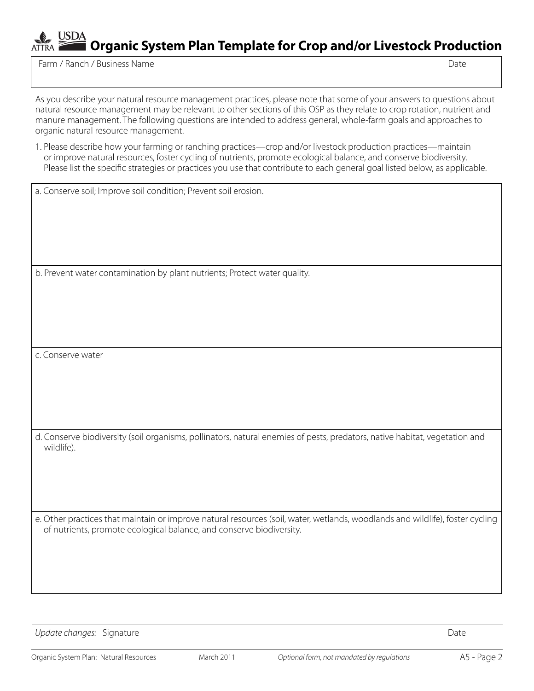

**Organic System Plan Template for Crop and/or Livestock Production**

Farm / Ranch / Business Name Date

 As you describe your natural resource management practices, please note that some of your answers to questions about natural resource management may be relevant to other sections of this OSP as they relate to crop rotation, nutrient and manure management. The following questions are intended to address general, whole-farm goals and approaches to organic natural resource management.

1. Please describe how your farming or ranching practices—crop and/or livestock production practices—maintain or improve natural resources, foster cycling of nutrients, promote ecological balance, and conserve biodiversity. Please list the specific strategies or practices you use that contribute to each general goal listed below, as applicable.

a. Conserve soil; Improve soil condition; Prevent soil erosion.

b. Prevent water contamination by plant nutrients; Protect water quality.

c. Conserve water

d. Conserve biodiversity (soil organisms, pollinators, natural enemies of pests, predators, native habitat, vegetation and wildlife).

e. Other practices that maintain or improve natural resources (soil, water, wetlands, woodlands and wildlife), foster cycling of nutrients, promote ecological balance, and conserve biodiversity.

*Update changes:* Signature Date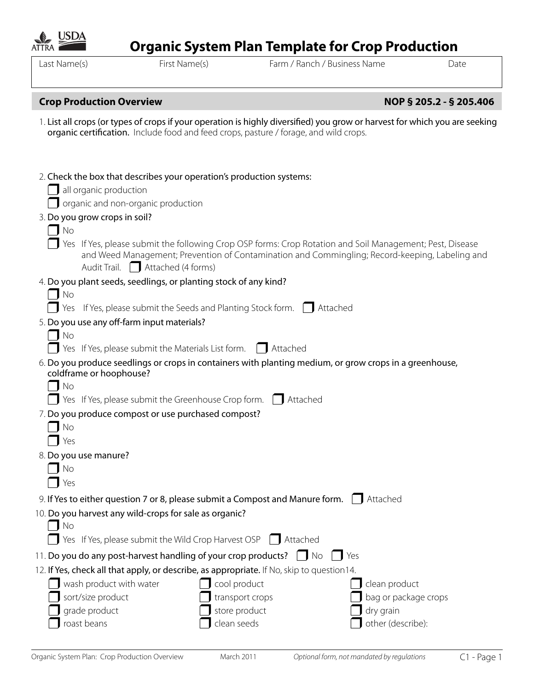

# **Organic System Plan Template for Crop Production**

Last Name(s) First Name(s) Farm / Ranch / Business Name

| <b>Crop Production Overview</b> |  |  |  |  |  |
|---------------------------------|--|--|--|--|--|
|---------------------------------|--|--|--|--|--|

**Crop Production Overview NOP § 205.2 - § 205.406**

1. List all crops (or types of crops if your operation is highly diversified) you grow or harvest for which you are seeking organic certification. Include food and feed crops, pasture / forage, and wild crops.

|     | 2. Check the box that describes your operation's production systems: |                                                                                                                                                                                                            |                      |
|-----|----------------------------------------------------------------------|------------------------------------------------------------------------------------------------------------------------------------------------------------------------------------------------------------|----------------------|
|     | all organic production                                               |                                                                                                                                                                                                            |                      |
|     | organic and non-organic production                                   |                                                                                                                                                                                                            |                      |
|     | 3. Do you grow crops in soil?                                        |                                                                                                                                                                                                            |                      |
| No  | Audit Trail.   Attached (4 forms)                                    | Yes If Yes, please submit the following Crop OSP forms: Crop Rotation and Soil Management; Pest, Disease<br>and Weed Management; Prevention of Contamination and Commingling; Record-keeping, Labeling and |                      |
|     | 4. Do you plant seeds, seedlings, or planting stock of any kind?     |                                                                                                                                                                                                            |                      |
| No  |                                                                      |                                                                                                                                                                                                            |                      |
|     | Yes If Yes, please submit the Seeds and Planting Stock form.         | Attached                                                                                                                                                                                                   |                      |
|     | 5. Do you use any off-farm input materials?                          |                                                                                                                                                                                                            |                      |
| No  | Yes If Yes, please submit the Materials List form.                   | Attached                                                                                                                                                                                                   |                      |
|     |                                                                      | 6. Do you produce seedlings or crops in containers with planting medium, or grow crops in a greenhouse,                                                                                                    |                      |
|     | coldframe or hoophouse?                                              |                                                                                                                                                                                                            |                      |
| No  |                                                                      |                                                                                                                                                                                                            |                      |
|     |                                                                      | $\Box$ Yes If Yes, please submit the Greenhouse Crop form. $\Box$ Attached                                                                                                                                 |                      |
|     | 7. Do you produce compost or use purchased compost?                  |                                                                                                                                                                                                            |                      |
| No  |                                                                      |                                                                                                                                                                                                            |                      |
| Yes |                                                                      |                                                                                                                                                                                                            |                      |
|     | 8. Do you use manure?                                                |                                                                                                                                                                                                            |                      |
| No  |                                                                      |                                                                                                                                                                                                            |                      |
| Yes |                                                                      |                                                                                                                                                                                                            |                      |
|     |                                                                      | 9. If Yes to either question 7 or 8, please submit a Compost and Manure form. $\Box$ Attached                                                                                                              |                      |
|     | 10. Do you harvest any wild-crops for sale as organic?               |                                                                                                                                                                                                            |                      |
| No  |                                                                      |                                                                                                                                                                                                            |                      |
|     |                                                                      | Yes If Yes, please submit the Wild Crop Harvest OSP   Attached                                                                                                                                             |                      |
|     | 11. Do you do any post-harvest handling of your crop products?       | <b>No</b>                                                                                                                                                                                                  | Yes                  |
|     |                                                                      | 12. If Yes, check all that apply, or describe, as appropriate. If No, skip to question 14.                                                                                                                 |                      |
|     | wash product with water                                              | cool product                                                                                                                                                                                               | clean product        |
|     | sort/size product                                                    | transport crops                                                                                                                                                                                            | bag or package crops |
|     | grade product                                                        | store product                                                                                                                                                                                              | dry grain            |
|     | roast beans                                                          | clean seeds                                                                                                                                                                                                | other (describe):    |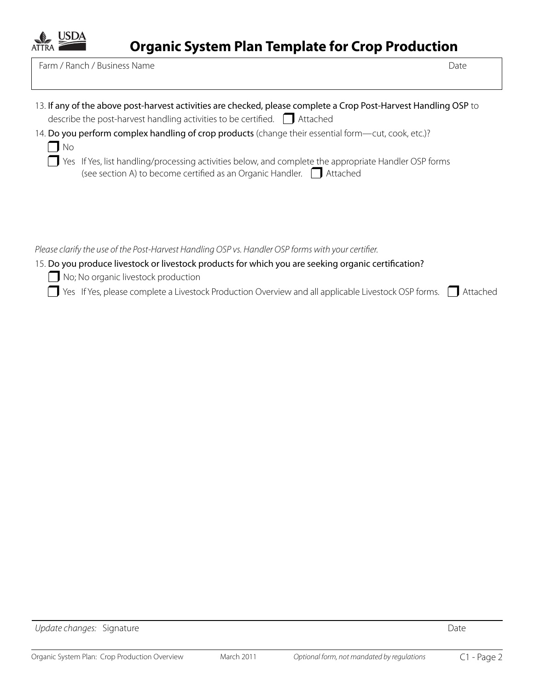

Farm / Ranch / Business Name Date Date of the Control of the Control of the Date Date Date Date Date Date Date

| 13. If any of the above post-harvest activities are checked, please complete a Crop Post-Harvest Handling OSP to                                                                           |
|--------------------------------------------------------------------------------------------------------------------------------------------------------------------------------------------|
| describe the post-harvest handling activities to be certified. $\Box$ Attached                                                                                                             |
| 14. Do you perform complex handling of crop products (change their essential form—cut, cook, etc.)?                                                                                        |
| $\blacksquare$ No                                                                                                                                                                          |
| $\Box$ Yes If Yes, list handling/processing activities below, and complete the appropriate Handler OSP forms<br>(see section A) to become certified as an Organic Handler. $\Box$ Attached |
|                                                                                                                                                                                            |

Please clarify the use of the Post-Harvest Handling OSP vs. Handler OSP forms with your certifier.

## 15. Do you produce livestock or livestock products for which you are seeking organic certification?

No; No organic livestock production

Yes If Yes, please complete a Livestock Production Overview and all applicable Livestock OSP forms.  $\Box$  Attached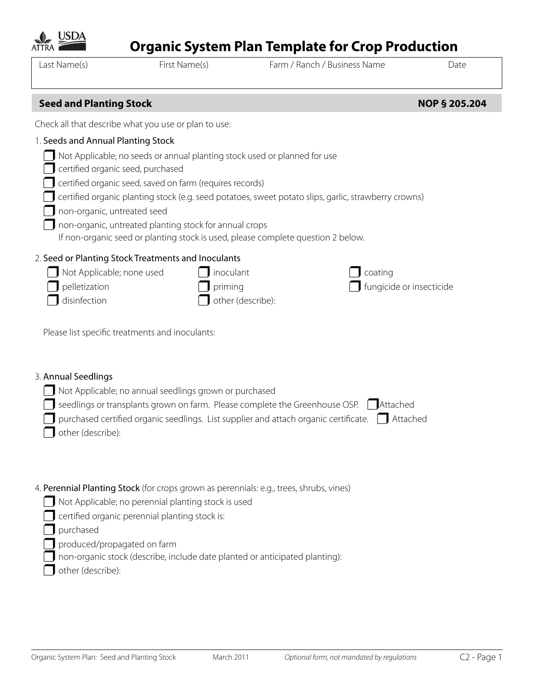| riease iist specific treatments and inoculants.                                                                                                                                                                                                                                                                                                  |
|--------------------------------------------------------------------------------------------------------------------------------------------------------------------------------------------------------------------------------------------------------------------------------------------------------------------------------------------------|
| 3. Annual Seedlings<br>Not Applicable; no annual seedlings grown or purchased<br>seedlings or transplants grown on farm. Please complete the Greenhouse OSP. Attached<br>purchased certified organic seedlings. List supplier and attach organic certificate.<br>Attached<br>other (describe):                                                   |
| 4. Perennial Planting Stock (for crops grown as perennials: e.g., trees, shrubs, vines)<br>Not Applicable; no perennial planting stock is used<br>certified organic perennial planting stock is:<br>purchased<br>produced/propagated on farm<br>non-organic stock (describe, include date planted or anticipated planting):<br>other (describe): |

Not Applicable; none used  $\Box$  inoculant

 $\Box$  certified organic seed, saved on farm (requires records)

priming

other (describe):

 $\Box$  certified organic planting stock (e.g. seed potatoes, sweet potato slips, garlic, strawberry crowns)

Please list specific treatments and inoculants:

Check all that describe what you use or plan to use:

1. Seeds and Annual Planting Stock

non-organic, untreated seed

 pelletization disinfection

 $\Box$  certified organic seed, purchased

# $\Box$  non-organic, untreated planting stock for annual crops If non-organic seed or planting stock is used, please complete question 2 below. 2. Seed or Planting Stock Treatments and Inoculants

# **Organic System Plan Template for Crop Production**

**Seed and Planting Stock No. 2008. The Seed and Planting Stock NOP**  $\frac{1}{2}$  **and Planting Stock NOP**  $\frac{1}{2}$  **and Planting Stock NOP**  $\frac{1}{2}$  **and Planting Stock**  $\frac{1}{2}$  **and Planting Stock**  $\frac{1}{2}$  **and Planting Stock \** 

 $\Box$  Not Applicable; no seeds or annual planting stock used or planned for use

Last Name(s) First Name(s) Farm / Ranch / Business Name Date

coating

fungicide or insecticide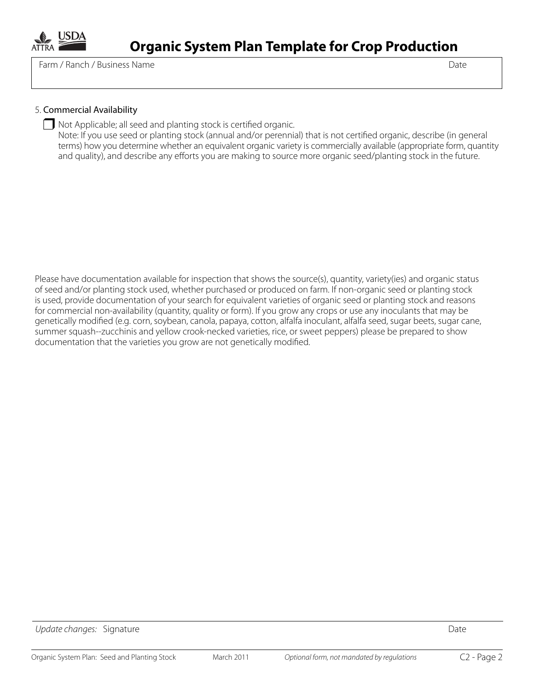

## 5. Commercial Availability

 $\Box$  Not Applicable; all seed and planting stock is certified organic. Note: If you use seed or planting stock (annual and/or perennial) that is not certified organic, describe (in general terms) how you determine whether an equivalent organic variety is commercially available (appropriate form, quantity and quality), and describe any efforts you are making to source more organic seed/planting stock in the future.

Please have documentation available for inspection that shows the source(s), quantity, variety(ies) and organic status of seed and/or planting stock used, whether purchased or produced on farm. If non-organic seed or planting stock is used, provide documentation of your search for equivalent varieties of organic seed or planting stock and reasons for commercial non-availability (quantity, quality or form). If you grow any crops or use any inoculants that may be genetically modified (e.g. corn, soybean, canola, papaya, cotton, alfalfa inoculant, alfalfa seed, sugar beets, sugar cane, summer squash--zucchinis and yellow crook-necked varieties, rice, or sweet peppers) please be prepared to show documentation that the varieties you grow are not genetically modified.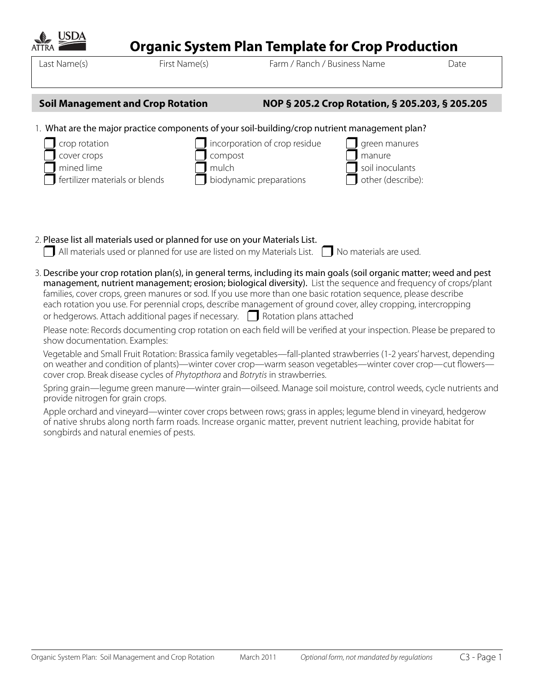| Spring grain—legume green manure—winter grain—oilseed. Manage soil moisture, control weeds, cycle nutrients and<br>provide nitrogen for grain crops.        |
|-------------------------------------------------------------------------------------------------------------------------------------------------------------|
| Apple orchard and vineyard—winter cover crops between rows; grass in apples; legume blend in vineyard, hedgerow                                             |
| of native shrubs along north farm roads. Increase organic matter, prevent nutrient leaching, provide habitat for<br>songbirds and natural enemies of pests. |
|                                                                                                                                                             |
|                                                                                                                                                             |

3. Describe your crop rotation plan(s), in general terms, including its main goals (soil organic matter; weed and pest management, nutrient management; erosion; biological diversity). List the sequence and frequency of crops/plant

Please note: Records documenting crop rotation on each field will be verified at your inspection. Please be prepared to

Vegetable and Small Fruit Rotation: Brassica family vegetables—fall-planted strawberries (1-2 years' harvest, depending on weather and condition of plants)—winter cover crop—warm season vegetables—winter cover crop—cut flowers—

families, cover crops, green manures or sod. If you use more than one basic rotation sequence, please describe each rotation you use. For perennial crops, describe management of ground cover, alley cropping, intercropping

|                                          | .                                                                                              |                               |                                                 |  |
|------------------------------------------|------------------------------------------------------------------------------------------------|-------------------------------|-------------------------------------------------|--|
| <b>Soil Management and Crop Rotation</b> |                                                                                                |                               | NOP § 205.2 Crop Rotation, § 205.203, § 205.205 |  |
|                                          | 1. What are the major practice components of your soil-building/crop nutrient management plan? |                               |                                                 |  |
| crop rotation                            |                                                                                                | incorporation of crop residue | green manures                                   |  |
| cover crops                              | compost                                                                                        |                               | manure                                          |  |
| mined lime                               | mulch                                                                                          |                               | soil inoculants                                 |  |

biodynamic preparations

 $\Box$  All materials used or planned for use are listed on my Materials List.  $\Box$  No materials are used.

2. Please list all materials used or planned for use on your Materials List.

show documentation. Examples:

fertilizer materials or blends

or hedgerows. Attach additional pages if necessary.  $\Box$  Rotation plans attached

cover crop. Break disease cycles of *Phytopthora* and *Botrytis* in strawberries.

Last Name(s) First Name(s) Farm / Ranch / Business Name Date

other (describe):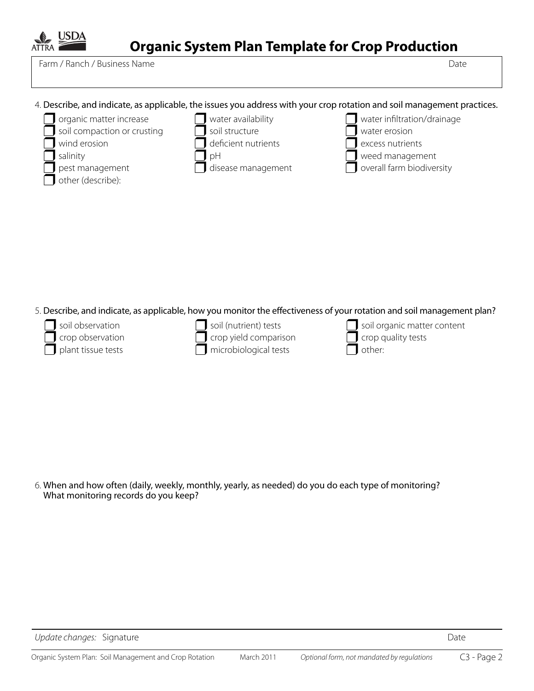

# **Organic System Plan Template for Crop Production**

Farm / Ranch / Business Name Date

### 4. Describe, and indicate, as applicable, the issues you address with your crop rotation and soil management practices.



5. Describe, and indicate, as applicable, how you monitor the effectiveness of your rotation and soil management plan?

| $\Box$ soil observation   |
|---------------------------|
| $\Box$ crop observation   |
| $\Box$ plant tissue tests |

| $\Box$ soil (nutrient) tests |
|------------------------------|
| $\Box$ crop yield comparis   |

comparison microbiological tests

soil organic matter content crop quality tests other:

6. When and how often (daily, weekly, monthly, yearly, as needed) do you do each type of monitoring? What monitoring records do you keep?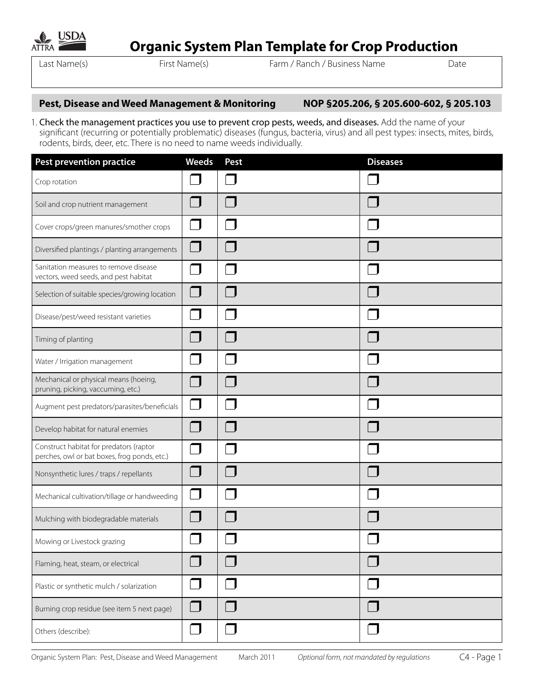| ALTRA | ISI JA |
|-------|--------|
|       |        |

Last Name(s) First Name(s) Farm / Ranch / Business Name Date

# **Pest, Disease and Weed Management & Monitoring NOP §205.206, § 205.600-602, § 205.103**

1. Check the management practices you use to prevent crop pests, weeds, and diseases. Add the name of your significant (recurring or potentially problematic) diseases (fungus, bacteria, virus) and all pest types: insects, mites, birds, rodents, birds, deer, etc. There is no need to name weeds individually.

| <b>Pest prevention practice</b>                                                         | <b>Weeds</b> | Pest | <b>Diseases</b> |
|-----------------------------------------------------------------------------------------|--------------|------|-----------------|
| Crop rotation                                                                           |              |      |                 |
| Soil and crop nutrient management                                                       |              |      |                 |
| Cover crops/green manures/smother crops                                                 |              |      |                 |
| Diversified plantings / planting arrangements                                           |              |      |                 |
| Sanitation measures to remove disease<br>vectors, weed seeds, and pest habitat          |              |      |                 |
| Selection of suitable species/growing location                                          | $\Box$       |      |                 |
| Disease/pest/weed resistant varieties                                                   |              |      |                 |
| Timing of planting                                                                      |              |      |                 |
| Water / Irrigation management                                                           |              |      |                 |
| Mechanical or physical means (hoeing,<br>pruning, picking, vaccuming, etc.)             |              |      |                 |
| Augment pest predators/parasites/beneficials                                            | J.           |      |                 |
| Develop habitat for natural enemies                                                     |              |      |                 |
| Construct habitat for predators (raptor<br>perches, owl or bat boxes, frog ponds, etc.) |              |      |                 |
| Nonsynthetic lures / traps / repellants                                                 | $\sim$       |      |                 |
| Mechanical cultivation/tillage or handweeding                                           |              |      |                 |
| Mulching with biodegradable materials                                                   |              |      |                 |
| Mowing or Livestock grazing                                                             |              |      |                 |
| Flaming, heat, steam, or electrical                                                     | n l          |      |                 |
| Plastic or synthetic mulch / solarization                                               |              |      |                 |
| Burning crop residue (see item 5 next page)                                             | $\Box$       |      |                 |
| Others (describe):                                                                      | J.           |      |                 |

Organic System Plan: Pest, Disease and Weed ManagementMarch 2011 *Optional form, not mandated by regulations* C4 - Page 1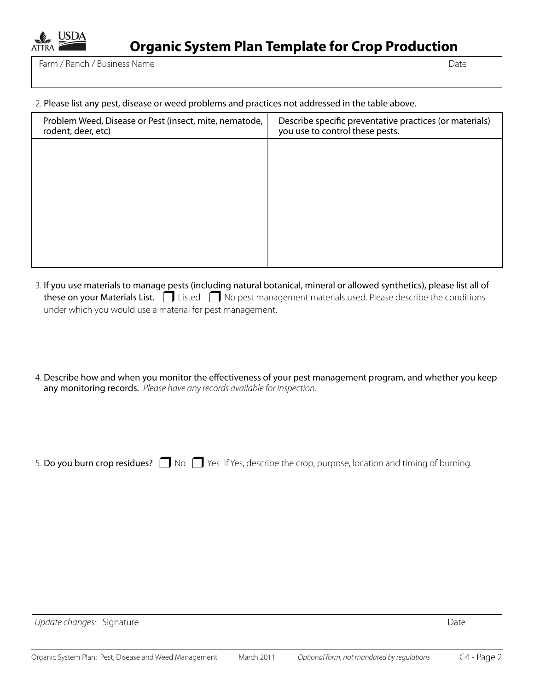

2. Please list any pest, disease or weed problems and practices not addressed in the table above.

| Problem Weed, Disease or Pest (insect, mite, nematode,<br>rodent, deer, etc) | Describe specific preventative practices (or materials)<br>you use to control these pests. |
|------------------------------------------------------------------------------|--------------------------------------------------------------------------------------------|
|                                                                              |                                                                                            |
|                                                                              |                                                                                            |
|                                                                              |                                                                                            |
|                                                                              |                                                                                            |
|                                                                              |                                                                                            |

- 3. If you use materials to manage pests (including natural botanical, mineral or allowed synthetics), please list all of these on your Materials List.  $\Box$  Listed  $\Box$  No pest management materials used. Please describe the conditions under which you would use a material for pest management.
- 4. Describe how and when you monitor the effectiveness of your pest management program, and whether you keep any monitoring records. *Please have any records available for inspection.*

5. Do you burn crop residues?  $\Box$  No  $\Box$  Yes If Yes, describe the crop, purpose, location and timing of burning.

*Update changes:* Signature Date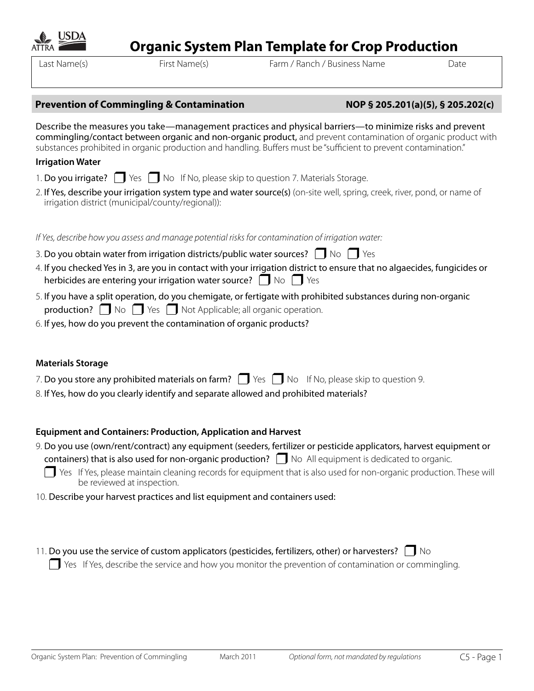

# **Prevention of Commingling & Contamination NOP § 205.201(a)(5), § 205.202(c)**

Describe the measures you take—management practices and physical barriers—to minimize risks and prevent commingling/contact between organic and non-organic product, and prevent contamination of organic product with substances prohibited in organic production and handling. Buffers must be "sufficient to prevent contamination."

**Organic System Plan Template for Crop Production**

# **Irrigation Water**

- 1. Do you irrigate?  $\Box$  Yes  $\Box$  No If No, please skip to question 7. Materials Storage.
- 2. If Yes, describe your irrigation system type and water source(s) (on-site well, spring, creek, river, pond, or name of irrigation district (municipal/county/regional)):

*If Yes, describe how you assess and manage potential risks for contamination of irrigation water:*

| 3. Do you obtain water from irrigation districts/public water sources? $\Box$ No $\Box$ Yes |  |  |  |  |
|---------------------------------------------------------------------------------------------|--|--|--|--|
|---------------------------------------------------------------------------------------------|--|--|--|--|

- 4. If you checked Yes in 3, are you in contact with your irrigation district to ensure that no algaecides, fungicides or herbicides are entering your irrigation water source?  $\Box$  No  $\Box$  Yes
- 5. If you have a split operation, do you chemigate, or fertigate with prohibited substances during non-organic **production?**  $\Box$  No  $\Box$  Yes  $\Box$  Not Applicable; all organic operation.
- 6. If yes, how do you prevent the contamination of organic products?

# **Materials Storage**

- 7. Do you store any prohibited materials on farm?  $\Box$  Yes  $\Box$  No If No, please skip to question 9.
- 8. If Yes, how do you clearly identify and separate allowed and prohibited materials?

# **Equipment and Containers: Production, Application and Harvest**

9. Do you use (own/rent/contract) any equipment (seeders, fertilizer or pesticide applicators, harvest equipment or containers) that is also used for non-organic production?  $\Box$  No All equipment is dedicated to organic.

 $\Box$  Yes If Yes, please maintain cleaning records for equipment that is also used for non-organic production. These will be reviewed at inspection.

10. Describe your harvest practices and list equipment and containers used:

Organic System Plan: Prevention of Commingling March 2011 *Optional form, not mandated by regulations* C5 - Page 1

11. Do you use the service of custom applicators (pesticides, fertilizers, other) or harvesters?  $\Box$  No

 $\Box$  Yes If Yes, describe the service and how you monitor the prevention of contamination or commingling.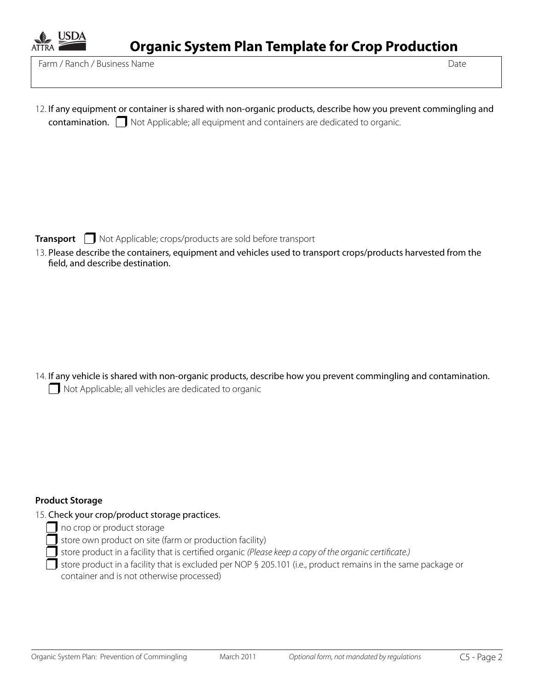

**Organic System Plan Template for Crop Production**

Farm / Ranch / Business Name Date

12. If any equipment or container is shared with non-organic products, describe how you prevent commingling and contamination. Not Applicable; all equipment and containers are dedicated to organic.

**Transport**  $\Box$  Not Applicable; crops/products are sold before transport

13. Please describe the containers, equipment and vehicles used to transport crops/products harvested from the field, and describe destination.

14. If any vehicle is shared with non-organic products, describe how you prevent commingling and contamination. Not Applicable; all vehicles are dedicated to organic

### **Product Storage**

15. Check your crop/product storage practices.

- I no crop or product storage
- store own product on site (farm or production facility)
- store product in a facility that is certified organic *(Please keep a copy of the organic certificate.)*
- store product in a facility that is excluded per NOP § 205.101 (i.e., product remains in the same package or container and is not otherwise processed)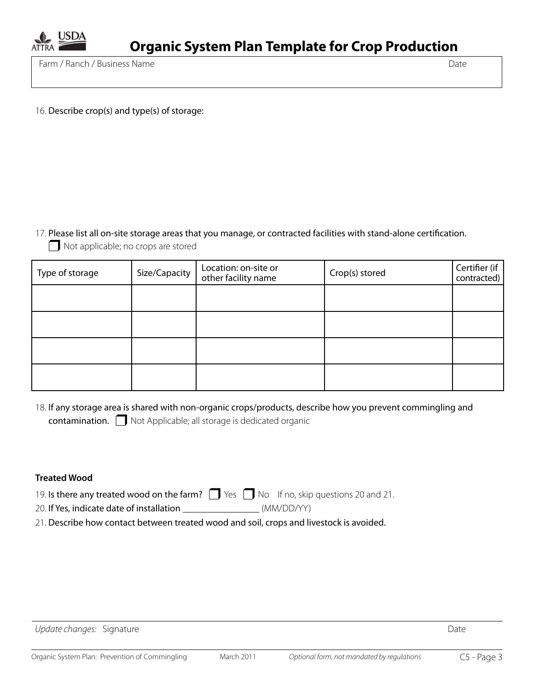

16. Describe crop(s) and type(s) of storage:

17. Please list all on-site storage areas that you manage, or contracted facilities with stand-alone certification.

Not applicable; no crops are stored

| Type of storage | Size/Capacity | Location: on-site or<br>other facility name | Crop(s) stored | Certifier (if<br>contracted) |
|-----------------|---------------|---------------------------------------------|----------------|------------------------------|
|                 |               |                                             |                |                              |
|                 |               |                                             |                |                              |
|                 |               |                                             |                |                              |
|                 |               |                                             |                |                              |

| 18. If any storage area is shared with non-organic crops/products, describe how you prevent commingling and |
|-------------------------------------------------------------------------------------------------------------|
| contamination. $\Box$ Not Applicable; all storage is dedicated organic                                      |

### **Treated Wood**

- 19. Is there any treated wood on the farm?  $\Box$  Yes  $\Box$  No If no, skip questions 20 and 21.
- 20. If Yes, indicate date of installation \_\_\_\_\_\_\_\_\_\_\_\_\_\_\_\_ (MM/DD/YY)
- 21. Describe how contact between treated wood and soil, crops and livestock is avoided.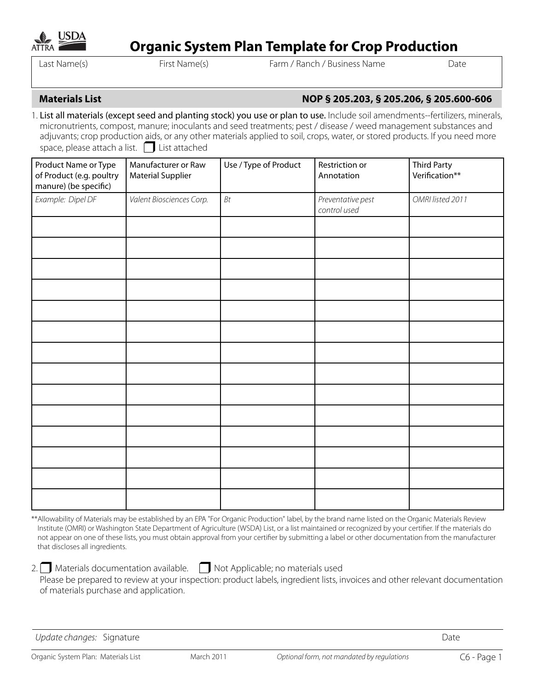| ALTRA | JSI DA |
|-------|--------|
|       |        |

# **Organic System Plan Template for Crop Production**

Last Name(s) First Name(s) Farm / Ranch / Business Name Date

# **Materials List NOP § 205.203, § 205.206, § 205.600-606**

1. List all materials (except seed and planting stock) you use or plan to use. Include soil amendments--fertilizers, minerals, micronutrients, compost, manure; inoculants and seed treatments; pest / disease / weed management substances and adjuvants; crop production aids, or any other materials applied to soil, crops, water, or stored products. If you need more space, please attach a list.  $\Box$  List attached

| Product Name or Type<br>of Product (e.g. poultry<br>manure) (be specific) | Manufacturer or Raw<br><b>Material Supplier</b> | Use / Type of Product | Restriction or<br>Annotation      | <b>Third Party</b><br>Verification** |
|---------------------------------------------------------------------------|-------------------------------------------------|-----------------------|-----------------------------------|--------------------------------------|
| Example: Dipel DF                                                         | Valent Biosciences Corp.                        | Bt                    | Preventative pest<br>control used | OMRI listed 2011                     |
|                                                                           |                                                 |                       |                                   |                                      |
|                                                                           |                                                 |                       |                                   |                                      |
|                                                                           |                                                 |                       |                                   |                                      |
|                                                                           |                                                 |                       |                                   |                                      |
|                                                                           |                                                 |                       |                                   |                                      |
|                                                                           |                                                 |                       |                                   |                                      |
|                                                                           |                                                 |                       |                                   |                                      |
|                                                                           |                                                 |                       |                                   |                                      |
|                                                                           |                                                 |                       |                                   |                                      |
|                                                                           |                                                 |                       |                                   |                                      |
|                                                                           |                                                 |                       |                                   |                                      |
|                                                                           |                                                 |                       |                                   |                                      |
|                                                                           |                                                 |                       |                                   |                                      |
|                                                                           |                                                 |                       |                                   |                                      |

\*\* Allowability of Materials may be established by an EPA "For Organic Production" label, by the brand name listed on the Organic Materials Review Institute (OMRI) or Washington State Department of Agriculture (WSDA) List, or a list maintained or recognized by your certifier. If the materials do not appear on one of these lists, you must obtain approval from your certifier by submitting a label or other documentation from the manufacturer that discloses all ingredients.

2.  $\Box$  Materials documentation available.  $\Box$  Not Applicable; no materials used

Please be prepared to review at your inspection: product labels, ingredient lists, invoices and other relevant documentation of materials purchase and application.

*Update changes:* Signature Date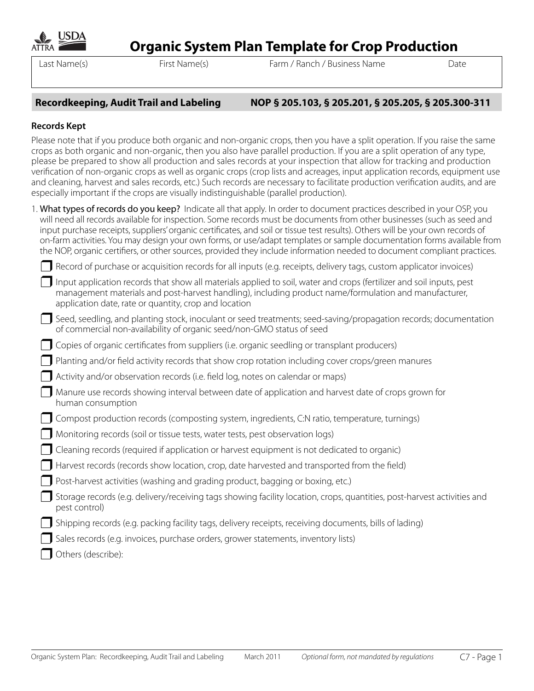

**Organic System Plan Template for Crop Production**

Last Name(s) First Name(s) Farm / Ranch / Business Name

# **Recordkeeping, Audit Trail and Labeling NOP § 205.103, § 205.201, § 205.205, § 205.300-311**

# **Records Kept**

Please note that if you produce both organic and non-organic crops, then you have a split operation. If you raise the same crops as both organic and non-organic, then you also have parallel production. If you are a split operation of any type, please be prepared to show all production and sales records at your inspection that allow for tracking and production verification of non-organic crops as well as organic crops (crop lists and acreages, input application records, equipment use and cleaning, harvest and sales records, etc.) Such records are necessary to facilitate production verification audits, and are especially important if the crops are visually indistinguishable (parallel production).

| 1. What types of records do you keep? Indicate all that apply. In order to document practices described in your OSP, you<br>will need all records available for inspection. Some records must be documents from other businesses (such as seed and<br>input purchase receipts, suppliers' organic certificates, and soil or tissue test results). Others will be your own records of<br>on-farm activities. You may design your own forms, or use/adapt templates or sample documentation forms available from<br>the NOP, organic certifiers, or other sources, provided they include information needed to document compliant practices. |
|--------------------------------------------------------------------------------------------------------------------------------------------------------------------------------------------------------------------------------------------------------------------------------------------------------------------------------------------------------------------------------------------------------------------------------------------------------------------------------------------------------------------------------------------------------------------------------------------------------------------------------------------|
| Record of purchase or acquisition records for all inputs (e.g. receipts, delivery tags, custom applicator invoices)                                                                                                                                                                                                                                                                                                                                                                                                                                                                                                                        |
| Input application records that show all materials applied to soil, water and crops (fertilizer and soil inputs, pest<br>management materials and post-harvest handling), including product name/formulation and manufacturer,<br>application date, rate or quantity, crop and location                                                                                                                                                                                                                                                                                                                                                     |
| Seed, seedling, and planting stock, inoculant or seed treatments; seed-saving/propagation records; documentation<br>of commercial non-availability of organic seed/non-GMO status of seed                                                                                                                                                                                                                                                                                                                                                                                                                                                  |
| Copies of organic certificates from suppliers (i.e. organic seedling or transplant producers)                                                                                                                                                                                                                                                                                                                                                                                                                                                                                                                                              |
| Planting and/or field activity records that show crop rotation including cover crops/green manures                                                                                                                                                                                                                                                                                                                                                                                                                                                                                                                                         |
| Activity and/or observation records (i.e. field log, notes on calendar or maps)                                                                                                                                                                                                                                                                                                                                                                                                                                                                                                                                                            |
| Manure use records showing interval between date of application and harvest date of crops grown for<br>human consumption                                                                                                                                                                                                                                                                                                                                                                                                                                                                                                                   |
| Compost production records (composting system, ingredients, C:N ratio, temperature, turnings)                                                                                                                                                                                                                                                                                                                                                                                                                                                                                                                                              |
| Monitoring records (soil or tissue tests, water tests, pest observation logs)                                                                                                                                                                                                                                                                                                                                                                                                                                                                                                                                                              |
| Cleaning records (required if application or harvest equipment is not dedicated to organic)                                                                                                                                                                                                                                                                                                                                                                                                                                                                                                                                                |
| Harvest records (records show location, crop, date harvested and transported from the field)                                                                                                                                                                                                                                                                                                                                                                                                                                                                                                                                               |
| Post-harvest activities (washing and grading product, bagging or boxing, etc.)                                                                                                                                                                                                                                                                                                                                                                                                                                                                                                                                                             |
| Storage records (e.g. delivery/receiving tags showing facility location, crops, quantities, post-harvest activities and<br>pest control)                                                                                                                                                                                                                                                                                                                                                                                                                                                                                                   |
| Shipping records (e.g. packing facility tags, delivery receipts, receiving documents, bills of lading)                                                                                                                                                                                                                                                                                                                                                                                                                                                                                                                                     |
| Sales records (e.g. invoices, purchase orders, grower statements, inventory lists)                                                                                                                                                                                                                                                                                                                                                                                                                                                                                                                                                         |
| Others (describe):                                                                                                                                                                                                                                                                                                                                                                                                                                                                                                                                                                                                                         |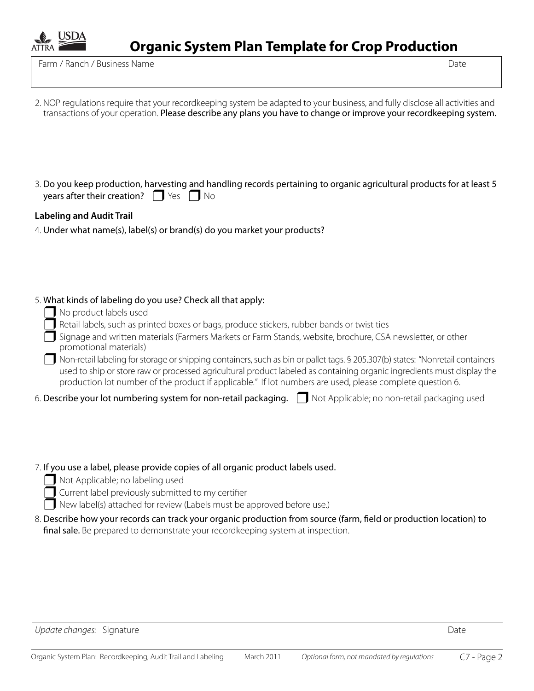

| 2. NOP regulations require that your recordkeeping system be adapted to your business, and fully disclose all activities and |  |  |
|------------------------------------------------------------------------------------------------------------------------------|--|--|
| transactions of your operation. Please describe any plans you have to change or improve your recordkeeping system.           |  |  |

3. Do you keep production, harvesting and handling records pertaining to organic agricultural products for at least 5 years after their creation?  $\Box$  Yes  $\Box$  No

## **Labeling and Audit Trail**

4. Under what name(s), label(s) or brand(s) do you market your products?

## 5. What kinds of labeling do you use? Check all that apply:

- No product labels used
- Retail labels, such as printed boxes or bags, produce stickers, rubber bands or twist ties
- Signage and written materials (Farmers Markets or Farm Stands, website, brochure, CSA newsletter, or other promotional materials)
- Non-retail labeling for storage or shipping containers, such as bin or pallet tags. § 205.307(b) states: "Nonretail containers used to ship or store raw or processed agricultural product labeled as containing organic ingredients must display the production lot number of the product if applicable*.*"If lot numbers are used, please complete question 6.
- 6. Describe your lot numbering system for non-retail packaging. <br>
Not Applicable; no non-retail packaging used

### 7. If you use a label, please provide copies of all organic product labels used.

- Not Applicable; no labeling used
- $\Box$  Current label previously submitted to my certifier
- $\Box$  New label(s) attached for review (Labels must be approved before use.)
- 8. Describe how your records can track your organic production from source (farm, field or production location) to final sale. Be prepared to demonstrate your recordkeeping system at inspection.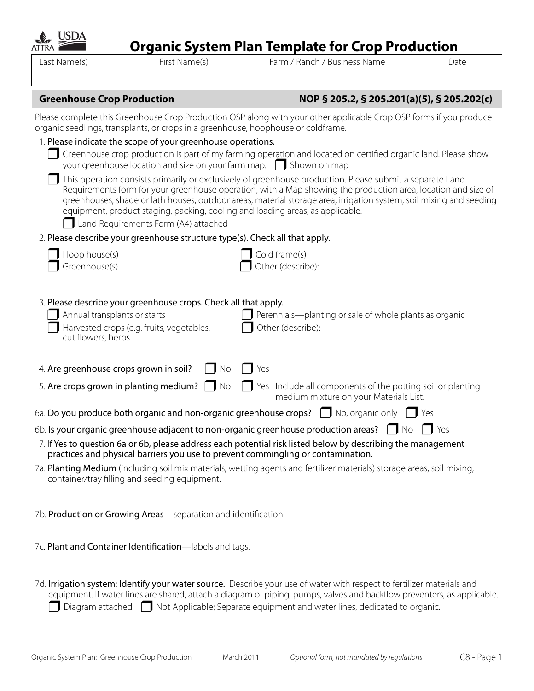| ALTRA | $\sqrt{N}$ )a |
|-------|---------------|
|       |               |

# **Organic System Plan Template for Crop Production**

Last Name(s) First Name(s) Farm / Ranch / Business Name Date

# **Greenhouse Crop Production NOP § 205.2, § 205.201(a)(5), § 205.202(c)**

Please complete this Greenhouse Crop Production OSP along with your other applicable Crop OSP forms if you produce organic seedlings, transplants, or crops in a greenhouse, hoophouse or coldframe.

| 1. Please indicate the scope of your greenhouse operations.                                                                                                                                                                                                                                                                                                                                                                                                                |
|----------------------------------------------------------------------------------------------------------------------------------------------------------------------------------------------------------------------------------------------------------------------------------------------------------------------------------------------------------------------------------------------------------------------------------------------------------------------------|
| Greenhouse crop production is part of my farming operation and located on certified organic land. Please show<br>your greenhouse location and size on your farm map. $\Box$ Shown on map                                                                                                                                                                                                                                                                                   |
| This operation consists primarily or exclusively of greenhouse production. Please submit a separate Land<br>Requirements form for your greenhouse operation, with a Map showing the production area, location and size of<br>greenhouses, shade or lath houses, outdoor areas, material storage area, irrigation system, soil mixing and seeding<br>equipment, product staging, packing, cooling and loading areas, as applicable.<br>Land Requirements Form (A4) attached |
| 2. Please describe your greenhouse structure type(s). Check all that apply.                                                                                                                                                                                                                                                                                                                                                                                                |
| Cold frame(s)<br>Hoop house(s)<br>Greenhouse(s)<br>Other (describe):                                                                                                                                                                                                                                                                                                                                                                                                       |
| 3. Please describe your greenhouse crops. Check all that apply.<br>Annual transplants or starts<br>Perennials-planting or sale of whole plants as organic<br>Other (describe):<br>Harvested crops (e.g. fruits, vegetables,<br>cut flowers, herbs                                                                                                                                                                                                                          |
| 4. Are greenhouse crops grown in soil?<br>T Yes<br>$\Box$ No                                                                                                                                                                                                                                                                                                                                                                                                               |
| $\Box$ Yes Include all components of the potting soil or planting<br>5. Are crops grown in planting medium? $\Box$ No<br>medium mixture on your Materials List.                                                                                                                                                                                                                                                                                                            |
| 6a. Do you produce both organic and non-organic greenhouse crops? $\Box$ No, organic only $\Box$ Yes                                                                                                                                                                                                                                                                                                                                                                       |
| <b>I</b> Yes                                                                                                                                                                                                                                                                                                                                                                                                                                                               |
| 7. If Yes to question 6a or 6b, please address each potential risk listed below by describing the management<br>practices and physical barriers you use to prevent commingling or contamination.                                                                                                                                                                                                                                                                           |
| 7a. Planting Medium (including soil mix materials, wetting agents and fertilizer materials) storage areas, soil mixing,<br>container/tray filling and seeding equipment.                                                                                                                                                                                                                                                                                                   |

- 7b. Production or Growing Areas—separation and identification.
- 7c. Plant and Container Identification-labels and tags.
- 7d. Irrigation system: Identify your water source. Describe your use of water with respect to fertilizer materials and equipment. If water lines are shared, attach a diagram of piping, pumps, valves and backflow preventers, as applicable.  $\Box$  Diagram attached  $\Box$  Not Applicable; Separate equipment and water lines, dedicated to organic.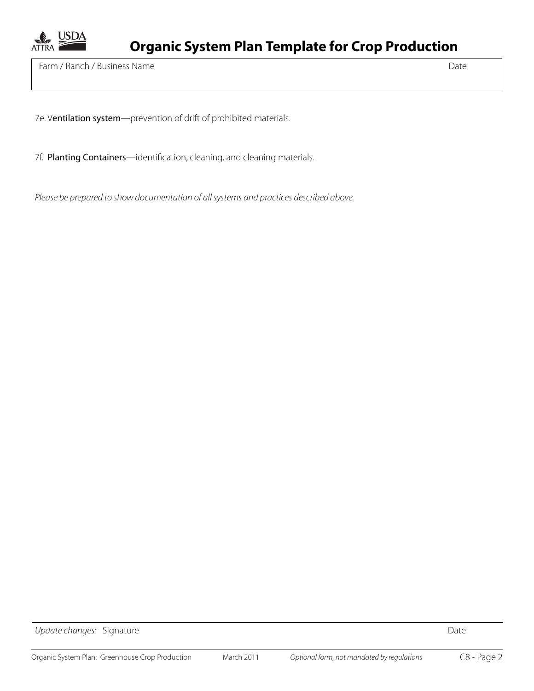

7e. Ventilation system—prevention of drift of prohibited materials.

7f. Planting Containers-identification, cleaning, and cleaning materials.

*Please be prepared to show documentation of all systems and practices described above.*

Update changes: Signature Date Date Date Date Date Date Date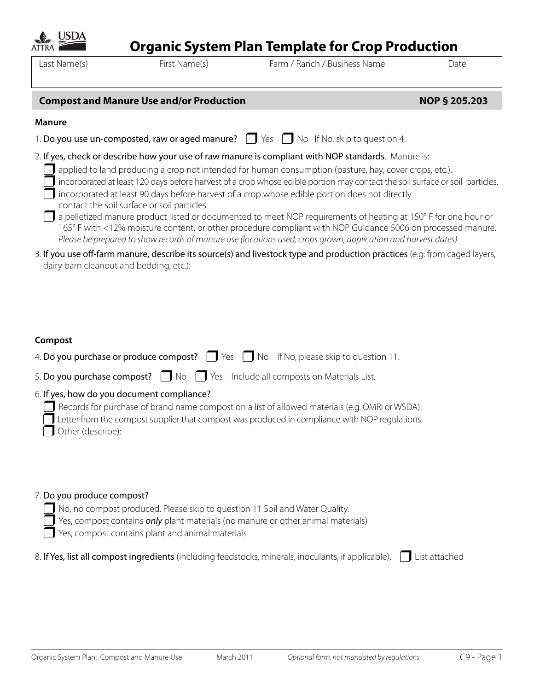| ALTRA | IN 14 |
|-------|-------|
|       |       |

# **Organic System Plan Template for Crop Production**

Last Name(s) First Name(s) Farm / Ranch / Business Name Date

# **Compost and Manure Use and/or Production NOP \$105.203**

## **Manure**

| 1. Do you use un-composted, raw or aged manure? $\Box$ Yes $\Box$ No If No, skip to question 4. |  |  |  |
|-------------------------------------------------------------------------------------------------|--|--|--|
|-------------------------------------------------------------------------------------------------|--|--|--|

- 2. If yes, check or describe how your use of raw manure is compliant with NOP standards. Manure is:
	- applied to land producing a crop not intended for human consumption (pasture, hay, cover crops, etc.).
		- incorporated at least 120 days before harvest of a crop whose edible portion may contact the soil surface or soil particles.
	- Incorporated at least 90 days before harvest of a crop whose edible portion does not directly
		- contact the soil surface or soil particles.
	- $\Box$  a pelletized manure product listed or documented to meet NOP requirements of heating at 150° F for one hour or 165° F with <12% moisture content, or other procedure compliant with NOP Guidance 5006 on processed manure. *Please be prepared to show records of manure use (locations used, crops grown, application and harvest dates).*
- 3. If you use off-farm manure, describe its source(s) and livestock type and production practices (e.g. from caged layers, dairy barn cleanout and bedding, etc.):

# **Compost**

| 4. Do you purchase or produce compost? $\Box$ Yes $\Box$ No If No, please skip to question 11. |  |  |  |  |
|------------------------------------------------------------------------------------------------|--|--|--|--|
|------------------------------------------------------------------------------------------------|--|--|--|--|

- 5. Do you purchase compost? <br>
No Similar Section 2 all composts on Materials List.
- 6. If yes, how do you document compliance?

Records for purchase of brand name compost on a list of allowed materials (e.g. OMRI or WSDA) Letter from the compost supplier that compost was produced in compliance with NOP regulations. Other (describe):

# 7. Do you produce compost?

- No, no compost produced. Please skip to question 11 Soil and Water Quality.
	- Yes, compost contains *only* plant materials (no manure or other animal materials)
	- Yes, compost contains plant and animal materials
- 8. If Yes, list all compost ingredients (including feedstocks, minerals, inoculants, if applicable). **I** List attached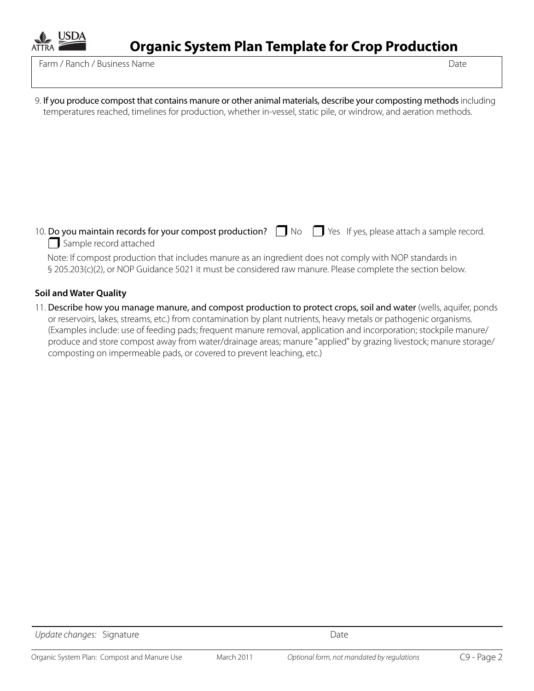

| 9. If you produce compost that contains manure or other animal materials, describe your composting methods including |
|----------------------------------------------------------------------------------------------------------------------|
| temperatures reached, timelines for production, whether in-vessel, static pile, or windrow, and aeration methods.    |
|                                                                                                                      |

## 10. Do you maintain records for your compost production? **I**No **I** Yes If yes, please attach a sample record. Sample record attached

 Note: If compost production that includes manure as an ingredient does not comply with NOP standards in § 205.203(c)(2), or NOP Guidance 5021 it must be considered raw manure. Please complete the section below.

# **Soil and Water Quality**

11. Describe how you manage manure, and compost production to protect crops, soil and water (wells, aquifer, ponds or reservoirs, lakes, streams, etc.) from contamination by plant nutrients, heavy metals or pathogenic organisms. (Examples include: use of feeding pads; frequent manure removal, application and incorporation; stockpile manure/ produce and store compost away from water/drainage areas; manure "applied" by grazing livestock; manure storage/ composting on impermeable pads, or covered to prevent leaching, etc.)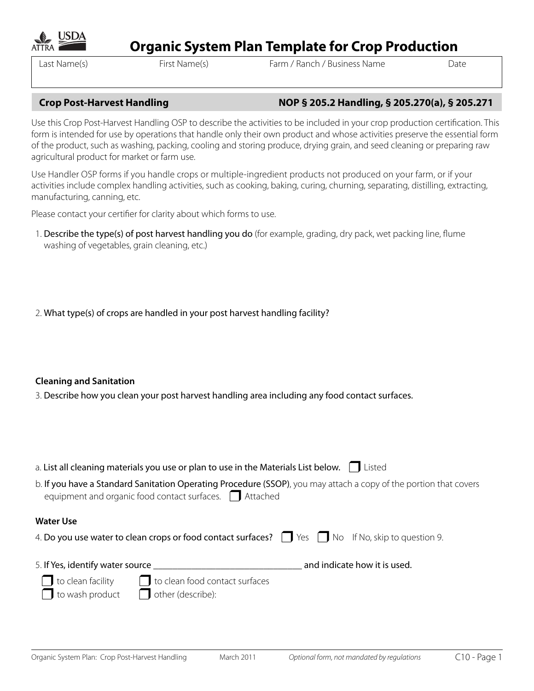

**Organic System Plan Template for Crop Production**

Last Name(s) First Name(s) Farm / Ranch / Business Name Date

# **Crop Post-Harvest Handling NOP § 205.2 Handling, § 205.270(a), § 205.271**

Use this Crop Post-Harvest Handling OSP to describe the activities to be included in your crop production certification. This form is intended for use by operations that handle only their own product and whose activities preserve the essential form of the product, such as washing, packing, cooling and storing produce, drying grain, and seed cleaning or preparing raw agricultural product for market or farm use.

Use Handler OSP forms if you handle crops or multiple-ingredient products not produced on your farm, or if your activities include complex handling activities, such as cooking, baking, curing, churning, separating, distilling, extracting, manufacturing, canning, etc.

Please contact your certifier for clarity about which forms to use.

1. Describe the type(s) of post harvest handling you do (for example, grading, dry pack, wet packing line, flume washing of vegetables, grain cleaning, etc.)

2. What type(s) of crops are handled in your post harvest handling facility?

# **Cleaning and Sanitation**

3. Describe how you clean your post harvest handling area including any food contact surfaces.

| a. List all cleaning materials you use or plan to use in the Materials List below. $\Box$ Listed<br>b. If you have a Standard Sanitation Operating Procedure (SSOP), you may attach a copy of the portion that covers<br>equipment and organic food contact surfaces. 14 Attached |                              |  |  |
|-----------------------------------------------------------------------------------------------------------------------------------------------------------------------------------------------------------------------------------------------------------------------------------|------------------------------|--|--|
| <b>Water Use</b><br>4. Do you use water to clean crops or food contact surfaces? <b>T</b> Yes <b>T</b> No If No, skip to question 9.                                                                                                                                              |                              |  |  |
| $\Box$ to clean facility<br>$\Box$ to clean food contact surfaces<br>$\blacksquare$ to wash product<br>$\Box$ other (describe):                                                                                                                                                   | and indicate how it is used. |  |  |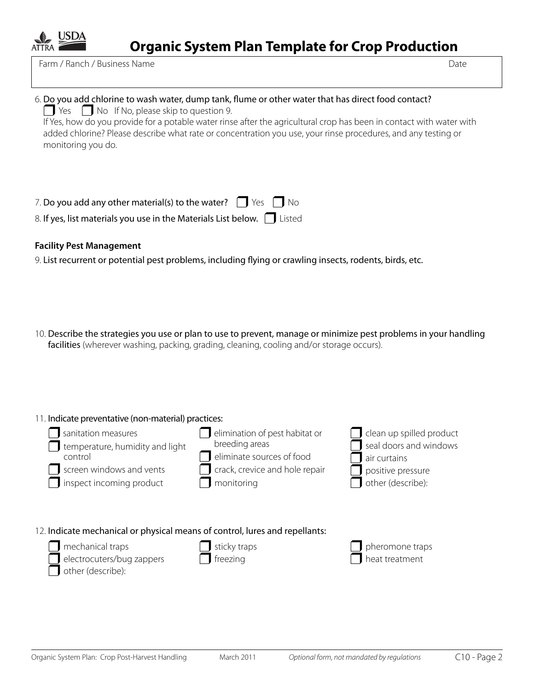

# 6. Do you add chlorine to wash water, dump tank, flume or other water that has direct food contact?

 $\Box$  Yes  $\Box$  No If No, please skip to question 9.

If Yes, how do you provide for a potable water rinse after the agricultural crop has been in contact with water with added chlorine? Please describe what rate or concentration you use, your rinse procedures, and any testing or monitoring you do.

| 7. Do you add any other material(s) to the water? $\Box$ Yes $\Box$ No       |  |
|------------------------------------------------------------------------------|--|
| 8. If yes, list materials you use in the Materials List below. $\Box$ Listed |  |

# **Facility Pest Management**

other (describe):

9. List recurrent or potential pest problems, including flying or crawling insects, rodents, birds, etc.

10. Describe the strategies you use or plan to use to prevent, manage or minimize pest problems in your handling facilities (wherever washing, packing, grading, cleaning, cooling and/or storage occurs).

| 11. Indicate preventative (non-material) practices:                         |                                |                          |
|-----------------------------------------------------------------------------|--------------------------------|--------------------------|
| sanitation measures                                                         | elimination of pest habitat or | clean up spilled product |
| temperature, humidity and light                                             | breeding areas                 | seal doors and windows   |
| control                                                                     | eliminate sources of food      | air curtains             |
| screen windows and vents                                                    | crack, crevice and hole repair | positive pressure        |
| inspect incoming product                                                    | monitoring                     | other (describe):        |
| 12. Indicate mechanical or physical means of control, lures and repellants: |                                |                          |
| mechanical traps                                                            | sticky traps                   | pheromone traps          |
| electrocuters/bug zappers                                                   | freezing                       | heat treatment           |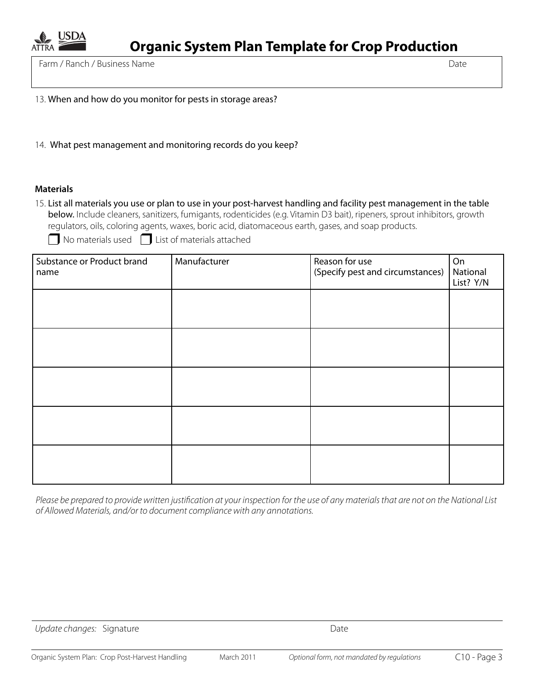

- 13. When and how do you monitor for pests in storage areas?
- 14. What pest management and monitoring records do you keep?

### **Materials**

15. List all materials you use or plan to use in your post-harvest handling and facility pest management in the table below. Include cleaners, sanitizers, fumigants, rodenticides (e.g. Vitamin D3 bait), ripeners, sprout inhibitors, growth regulators, oils, coloring agents, waxes, boric acid, diatomaceous earth, gases, and soap products.

 $\Box$  No materials used  $\Box$  List of materials attached

| Substance or Product brand<br>name | Manufacturer | Reason for use<br>(Specify pest and circumstances) | On<br>National<br>List? Y/N |
|------------------------------------|--------------|----------------------------------------------------|-----------------------------|
|                                    |              |                                                    |                             |
|                                    |              |                                                    |                             |
|                                    |              |                                                    |                             |
|                                    |              |                                                    |                             |
|                                    |              |                                                    |                             |

Please be prepared to provide written justification at your inspection for the use of any materials that are not on the National List *of Allowed Materials, and/or to document compliance with any annotations.*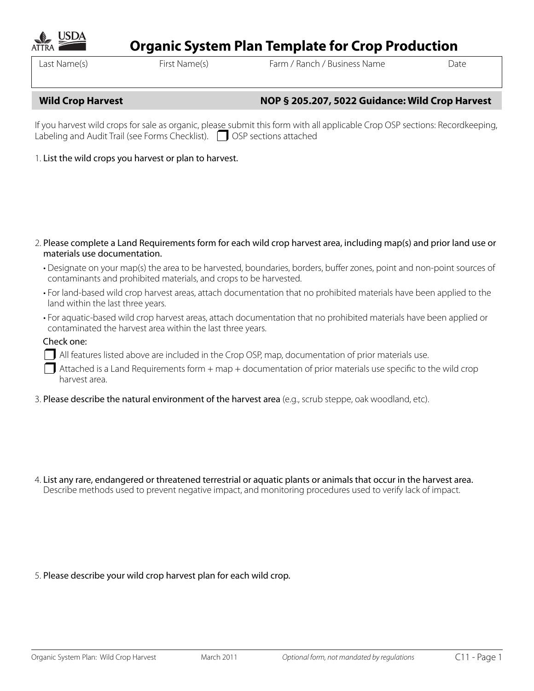

# **Organic System Plan Template for Crop Production**

Last Name(s) First Name(s) Farm / Ranch / Business Name Date

# **Wild Crop Harvest NOP § 205.207, 5022 Guidance: Wild Crop Harvest**

If you harvest wild crops for sale as organic, please submit this form with all applicable Crop OSP sections: Recordkeeping, Labeling and Audit Trail (see Forms Checklist).  $\Box$  OSP sections attached

# 1. List the wild crops you harvest or plan to harvest.

- 2. Please complete a Land Requirements form for each wild crop harvest area, including map(s) and prior land use or materials use documentation.
	- Designate on your map(s) the area to be harvested, boundaries, borders, buffer zones, point and non-point sources of contaminants and prohibited materials, and crops to be harvested.
	- For land-based wild crop harvest areas, attach documentation that no prohibited materials have been applied to the land within the last three years.
	- For aquatic-based wild crop harvest areas, attach documentation that no prohibited materials have been applied or contaminated the harvest area within the last three years.

## Check one:

- $\Box$  All features listed above are included in the Crop OSP, map, documentation of prior materials use.
- $\Box$  Attached is a Land Requirements form + map + documentation of prior materials use specific to the wild crop harvest area.
- 3. Please describe the natural environment of the harvest area (e.g., scrub steppe, oak woodland, etc).

4. List any rare, endangered or threatened terrestrial or aquatic plants or animals that occur in the harvest area. Describe methods used to prevent negative impact, and monitoring procedures used to verify lack of impact.

# 5. Please describe your wild crop harvest plan for each wild crop.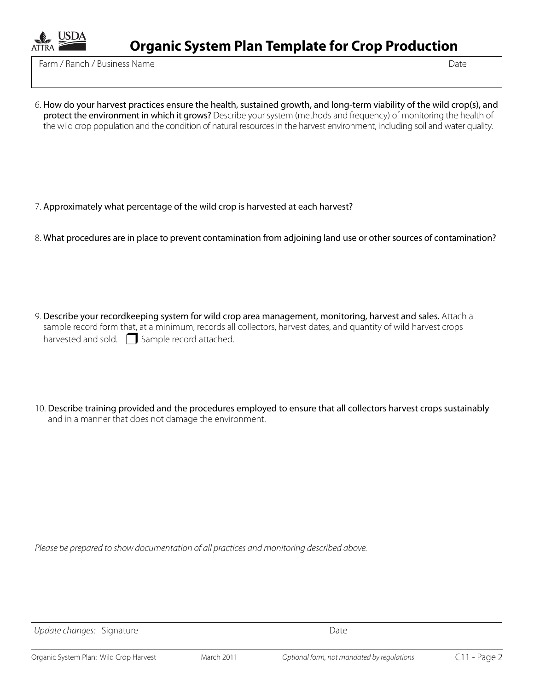

**Organic System Plan Template for Crop Production**

Farm / Ranch / Business Name Date

6. How do your harvest practices ensure the health, sustained growth, and long-term viability of the wild crop(s), and protect the environment in which it grows? Describe your system (methods and frequency) of monitoring the health of the wild crop population and the condition of natural resources in the harvest environment, including soil and water quality.

- 7. Approximately what percentage of the wild crop is harvested at each harvest?
- 8. What procedures are in place to prevent contamination from adjoining land use or other sources of contamination?
- 9. Describe your recordkeeping system for wild crop area management, monitoring, harvest and sales. Attach a sample record form that, at a minimum, records all collectors, harvest dates, and quantity of wild harvest crops harvested and sold.  $\Box$  Sample record attached.
- 10. Describe training provided and the procedures employed to ensure that all collectors harvest crops sustainably and in a manner that does not damage the environment.

*Please be prepared to show documentation of all practices and monitoring described above.*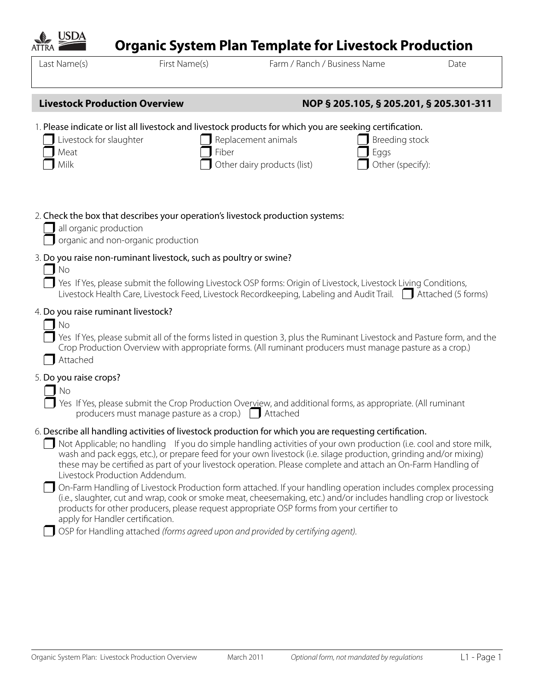| products for other producers, please request appropriate OSP forms from your certifier to<br>apply for Handler certification. |  |
|-------------------------------------------------------------------------------------------------------------------------------|--|
| $\Box$ OSP for Handling attached (forms agreed upon and provided by certifying agent).                                        |  |
|                                                                                                                               |  |
|                                                                                                                               |  |
|                                                                                                                               |  |
|                                                                                                                               |  |
|                                                                                                                               |  |
|                                                                                                                               |  |
|                                                                                                                               |  |
|                                                                                                                               |  |

Last Name(s) First Name(s) Farm / Ranch / Business Name Date

# **Livestock Production Overview NOP § 205.105, § 205.201, § 205.301-311**

2. Check the box that describes your operation's livestock production systems:

3. Do you raise non-ruminant livestock, such as poultry or swine?

1. Please indicate or list all livestock and livestock products for which you are seeking certification.

| I Livestock for slaughter |
|---------------------------|

 Meat Milk

Replacement animals Fiber Other dairy products (list)

| $\Box$ Breeding stock   |
|-------------------------|
| $\Box$ Eggs             |
| $\Box$ Other (specify): |

 $\Box$  No Yes If Yes, please submit the following Livestock OSP forms: Origin of Livestock, Livestock Living Conditions, Livestock Health Care, Livestock Feed, Livestock Recordkeeping, Labeling and Audit Trail. **In Attached (5 forms)** 

# 4. Do you raise ruminant livestock?

all organic production

organic and non-organic production

No

 Yes If Yes, please submit all of the forms listed in question 3, plus the Ruminant Livestock and Pasture form, and the Crop Production Overview with appropriate forms. (All ruminant producers must manage pasture as a crop.)

Attached

# 5. Do you raise crops?

 $\Box$  No

Yes If Yes, please submit the Crop Production Overview, and additional forms, as appropriate. (All ruminant producers must manage pasture as a crop.)  $\Box$  Attached

# 6. Describe all handling activities of livestock production for which you are requesting certification.

 $\Box$  Not Applicable; no handling If you do simple handling activities of your own production (i.e. cool and store milk, wash and pack eggs, etc.), or prepare feed for your own livestock (i.e. silage production, grinding and/or mixing) these may be certified as part of your livestock operation. Please complete and attach an On-Farm Handling of Livestock Production Addendum.

 On-Farm Handling of Livestock Production form attached. If your handling operation includes complex processing (i.e., slaughter, cut and wrap, cook or smoke meat, cheesemaking, etc.) and/or includes handling crop or livestock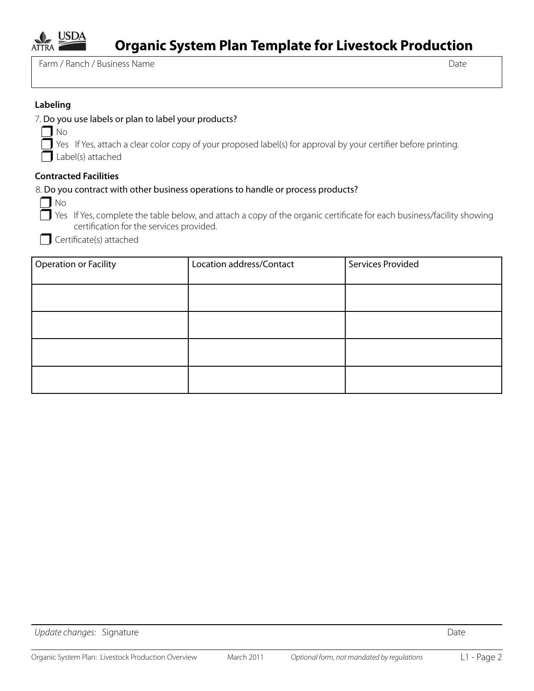

Farm / Ranch / Business Name Date

## **Labeling**

|           | 7. Do you use labels or plan to label your products?      |
|-----------|-----------------------------------------------------------|
| $\Box$ No |                                                           |
|           | $\Box$ Yes If Yes, attach a clear color copy of your prop |

of your proposed label(s) for approval by your certifier before printing. Label(s) attached

### **Contracted Facilities**

## 8. Do you contract with other business operations to handle or process products?

| . . | M<br>÷ |
|-----|--------|
|     |        |

 $\Box$  Yes If Yes, complete the table below, and attach a copy of the organic certificate for each business/facility showing certification for the services provided.

Certificate(s) attached

| <b>Operation or Facility</b> | Location address/Contact | Services Provided |
|------------------------------|--------------------------|-------------------|
|                              |                          |                   |
|                              |                          |                   |
|                              |                          |                   |
|                              |                          |                   |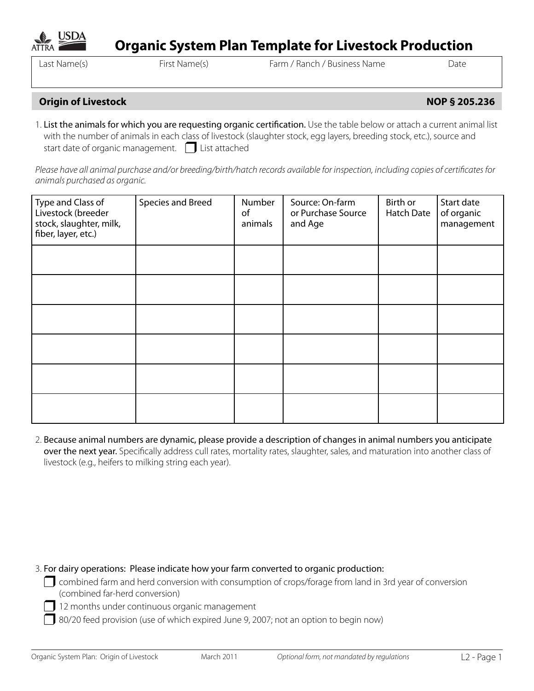

Last Name(s) First Name(s) Farm / Ranch / Business Name Date

# **Origin of Livestock** NOP § 205.236

1. List the animals for which you are requesting organic certification. Use the table below or attach a current animal list with the number of animals in each class of livestock (slaughter stock, egg layers, breeding stock, etc.), source and start date of organic management. **I** List attached

Please have all animal purchase and/or breeding/birth/hatch records available for inspection, including copies of certificates for *animals purchased as organic.*

| Type and Class of<br>Livestock (breeder<br>stock, slaughter, milk,<br>fiber, layer, etc.) | Species and Breed | Number<br>of<br>animals | Source: On-farm<br>or Purchase Source<br>and Age | Birth or<br>Hatch Date | Start date<br>of organic<br>management |
|-------------------------------------------------------------------------------------------|-------------------|-------------------------|--------------------------------------------------|------------------------|----------------------------------------|
|                                                                                           |                   |                         |                                                  |                        |                                        |
|                                                                                           |                   |                         |                                                  |                        |                                        |
|                                                                                           |                   |                         |                                                  |                        |                                        |
|                                                                                           |                   |                         |                                                  |                        |                                        |
|                                                                                           |                   |                         |                                                  |                        |                                        |
|                                                                                           |                   |                         |                                                  |                        |                                        |

2. Because animal numbers are dynamic, please provide a description of changes in animal numbers you anticipate over the next year. Specifically address cull rates, mortality rates, slaughter, sales, and maturation into another class of livestock (e.g., heifers to milking string each year).

3. For dairy operations: Please indicate how your farm converted to organic production:

- $\Box$  combined farm and herd conversion with consumption of crops/forage from land in 3rd year of conversion (combined far-herd conversion)
	- 12 months under continuous organic management
	- **1**80/20 feed provision (use of which expired June 9, 2007; not an option to begin now)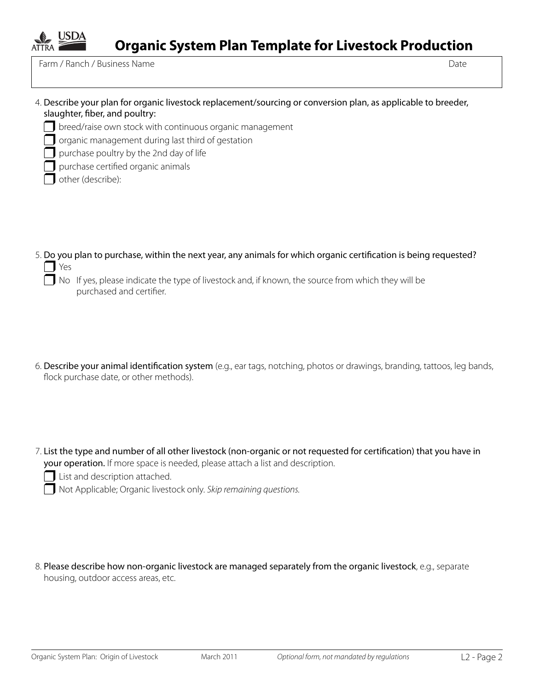

| slaughter, fiber, and poultry:                                                                                    |
|-------------------------------------------------------------------------------------------------------------------|
| breed/raise own stock with continuous organic management                                                          |
| organic management during last third of gestation                                                                 |
| purchase poultry by the 2nd day of life                                                                           |
| purchase certified organic animals                                                                                |
| other (describe):                                                                                                 |
|                                                                                                                   |
|                                                                                                                   |
|                                                                                                                   |
|                                                                                                                   |
| 5. Do you plan to purchase, within the next year, any animals for which organic certification is being requested? |
| Yes                                                                                                               |
| No If yes, please indicate the type of livestock and, if known, the source from which they will be                |

4. Describe your plan for organic livestock replacement/sourcing or conversion plan, as applicable to breeder,

purchased and certifier.

- 6. Describe your animal identification system (e.g., ear tags, notching, photos or drawings, branding, tattoos, leg bands, flock purchase date, or other methods).
- 7. List the type and number of all other livestock (non-organic or not requested for certification) that you have in your operation. If more space is needed, please attach a list and description.
	- **List and description attached.**
	- Not Applicable; Organic livestock only. *Skip remaining questions.*
- 8. Please describe how non-organic livestock are managed separately from the organic livestock, e.g., separate housing, outdoor access areas, etc.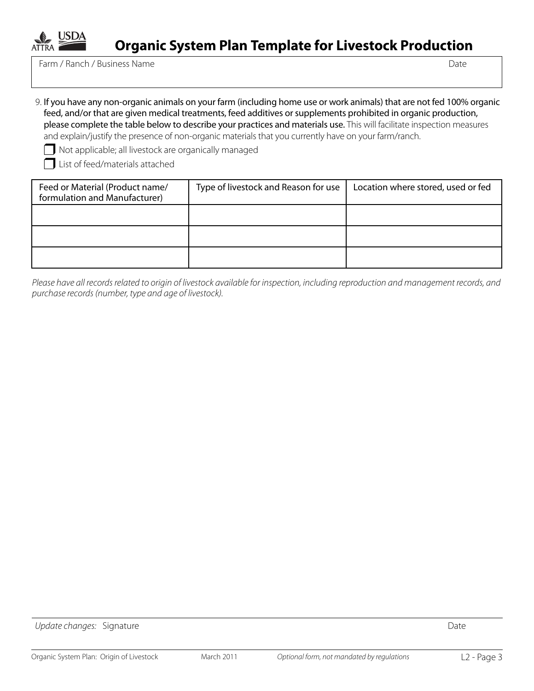

Farm / Ranch / Business Name Date

9. If you have any non-organic animals on your farm (including home use or work animals) that are not fed 100% organic feed, and/or that are given medical treatments, feed additives or supplements prohibited in organic production, please complete the table below to describe your practices and materials use. This will facilitate inspection measures and explain/justify the presence of non-organic materials that you currently have on your farm/ranch.

Not applicable; all livestock are organically managed

List of feed/materials attached

| Feed or Material (Product name/<br>formulation and Manufacturer) | Type of livestock and Reason for use | Location where stored, used or fed |
|------------------------------------------------------------------|--------------------------------------|------------------------------------|
|                                                                  |                                      |                                    |
|                                                                  |                                      |                                    |
|                                                                  |                                      |                                    |

*Please have all records related to origin of livestock available for inspection, including reproduction and management records, and purchase records (number, type and age of livestock).* 

Update changes: Signature Date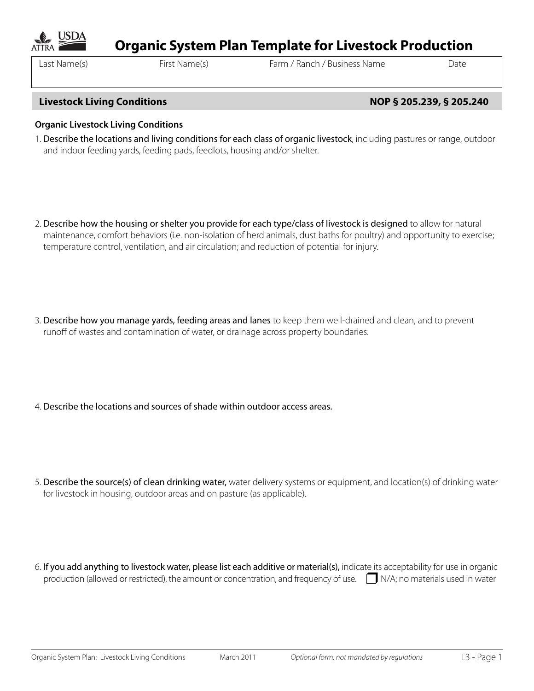

Last Name(s) First Name(s) Farm / Ranch / Business Name Date

# **Livestock Living Conditions NOP § 205.239, § 205.240**

# **Organic Livestock Living Conditions**

- 1. Describe the locations and living conditions for each class of organic livestock, including pastures or range, outdoor and indoor feeding yards, feeding pads, feedlots, housing and/or shelter.
- 2. Describe how the housing or shelter you provide for each type/class of livestock is designed to allow for natural maintenance, comfort behaviors (i.e. non-isolation of herd animals, dust baths for poultry) and opportunity to exercise; temperature control, ventilation, and air circulation; and reduction of potential for injury.
- 3. Describe how you manage yards, feeding areas and lanes to keep them well-drained and clean, and to prevent runoff of wastes and contamination of water, or drainage across property boundaries.
- 4. Describe the locations and sources of shade within outdoor access areas.
- 5. Describe the source(s) of clean drinking water, water delivery systems or equipment, and location(s) of drinking water for livestock in housing, outdoor areas and on pasture (as applicable).
- 6. If you add anything to livestock water, please list each additive or material(s), indicate its acceptability for use in organic production (allowed or restricted), the amount or concentration, and frequency of use.  $\Box$  N/A; no materials used in water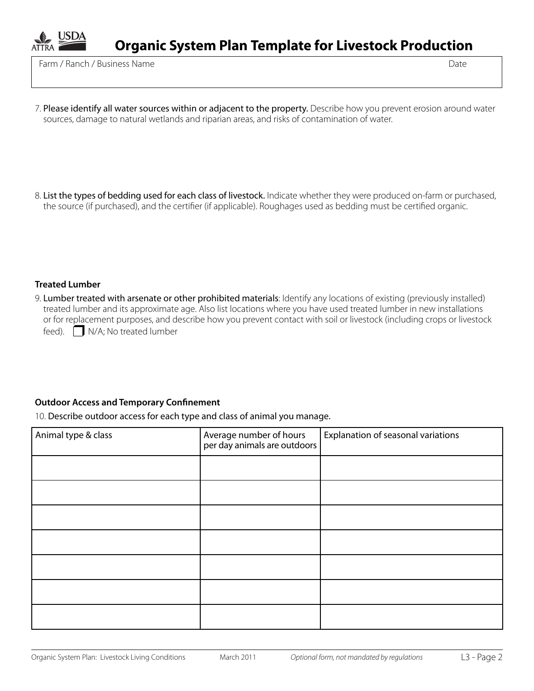

Farm / Ranch / Business Name Date

- 7. Please identify all water sources within or adjacent to the property. Describe how you prevent erosion around water sources, damage to natural wetlands and riparian areas, and risks of contamination of water.
- 8. List the types of bedding used for each class of livestock. Indicate whether they were produced on-farm or purchased, the source (if purchased), and the certifier (if applicable). Roughages used as bedding must be certified organic.

### **Treated Lumber**

9. Lumber treated with arsenate or other prohibited materials: Identify any locations of existing (previously installed) treated lumber and its approximate age. Also list locations where you have used treated lumber in new installations or for replacement purposes, and describe how you prevent contact with soil or livestock (including crops or livestock feed).  $\Box$  N/A; No treated lumber

### **Outdoor Access and Temporary Confinement**

10. Describe outdoor access for each type and class of animal you manage.

| Animal type & class | Average number of hours<br>per day animals are outdoors | Explanation of seasonal variations |
|---------------------|---------------------------------------------------------|------------------------------------|
|                     |                                                         |                                    |
|                     |                                                         |                                    |
|                     |                                                         |                                    |
|                     |                                                         |                                    |
|                     |                                                         |                                    |
|                     |                                                         |                                    |
|                     |                                                         |                                    |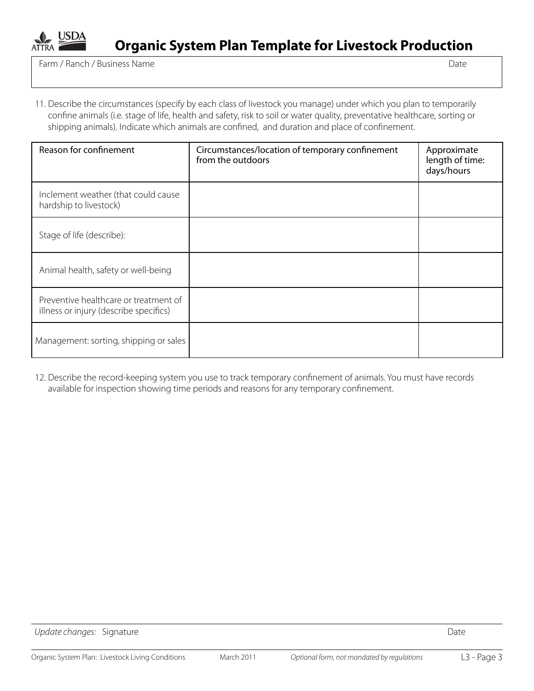

11. Describe the circumstances (specify by each class of livestock you manage) under which you plan to temporarily confine animals (i.e. stage of life, health and safety, risk to soil or water quality, preventative healthcare, sorting or shipping animals). Indicate which animals are confined, and duration and place of confinement.

| Reason for confinement                                                          | Circumstances/location of temporary confinement<br>from the outdoors | Approximate<br>length of time:<br>days/hours |
|---------------------------------------------------------------------------------|----------------------------------------------------------------------|----------------------------------------------|
| Inclement weather (that could cause<br>hardship to livestock)                   |                                                                      |                                              |
| Stage of life (describe):                                                       |                                                                      |                                              |
| Animal health, safety or well-being                                             |                                                                      |                                              |
| Preventive healthcare or treatment of<br>illness or injury (describe specifics) |                                                                      |                                              |
| Management: sorting, shipping or sales                                          |                                                                      |                                              |

12. Describe the record-keeping system you use to track temporary confinement of animals. You must have records available for inspection showing time periods and reasons for any temporary confinement.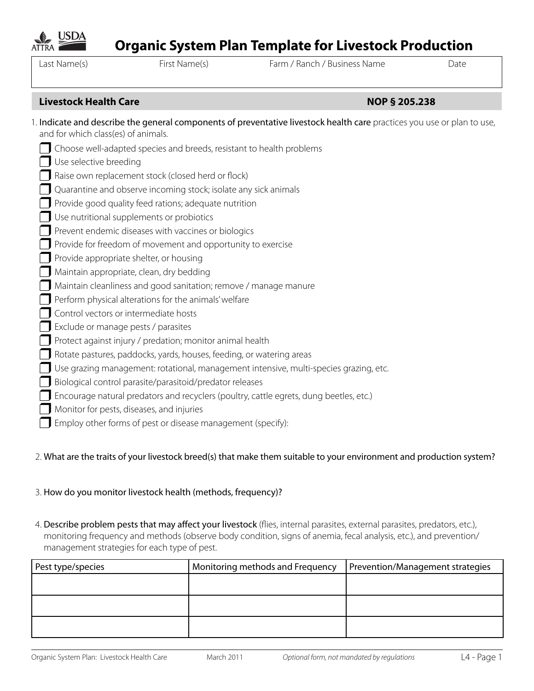

Last Name(s) First Name(s) Farm / Ranch / Business Name

# **Livestock Health Care** No. 2007 **NOP § 205.238**

| 1. Indicate and describe the general components of preventative livestock health care practices you use or plan to use, |
|-------------------------------------------------------------------------------------------------------------------------|
| and for which class(es) of animals.                                                                                     |
| Choose well-adapted species and breeds, resistant to health problems                                                    |
| Use selective breeding                                                                                                  |
| Raise own replacement stock (closed herd or flock)                                                                      |
| Quarantine and observe incoming stock; isolate any sick animals                                                         |
| Provide good quality feed rations; adequate nutrition                                                                   |
| Use nutritional supplements or probiotics                                                                               |
| Prevent endemic diseases with vaccines or biologics                                                                     |
| Provide for freedom of movement and opportunity to exercise                                                             |
| Provide appropriate shelter, or housing                                                                                 |
| Maintain appropriate, clean, dry bedding                                                                                |
| Maintain cleanliness and good sanitation; remove / manage manure                                                        |
| Perform physical alterations for the animals' welfare                                                                   |
| Control vectors or intermediate hosts                                                                                   |
| Exclude or manage pests / parasites                                                                                     |
| Protect against injury / predation; monitor animal health                                                               |
| Rotate pastures, paddocks, yards, houses, feeding, or watering areas                                                    |
| Use grazing management: rotational, management intensive, multi-species grazing, etc.                                   |
| Biological control parasite/parasitoid/predator releases                                                                |
| Encourage natural predators and recyclers (poultry, cattle egrets, dung beetles, etc.)                                  |
| Monitor for pests, diseases, and injuries                                                                               |
| Employ other forms of pest or disease management (specify):                                                             |

2. What are the traits of your livestock breed(s) that make them suitable to your environment and production system?

## 3. How do you monitor livestock health (methods, frequency)?

4. Describe problem pests that may affect your livestock (flies, internal parasites, external parasites, predators, etc.), monitoring frequency and methods (observe body condition, signs of anemia, fecal analysis, etc.), and prevention/ management strategies for each type of pest.

| Pest type/species | Monitoring methods and Frequency | Prevention/Management strategies |
|-------------------|----------------------------------|----------------------------------|
|                   |                                  |                                  |
|                   |                                  |                                  |
|                   |                                  |                                  |
|                   |                                  |                                  |
|                   |                                  |                                  |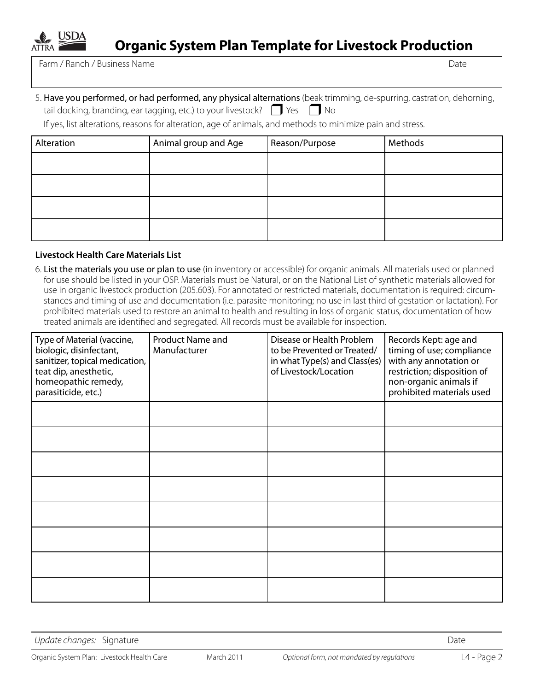

| 5. Have you performed, or had performed, any physical alternations (beak trimming, de-spurring, castration, dehorning, |  |  |  |
|------------------------------------------------------------------------------------------------------------------------|--|--|--|
| tail docking, branding, ear tagging, etc.) to your livestock? $\Box$ Yes $\Box$ No                                     |  |  |  |

If yes, list alterations, reasons for alteration, age of animals, and methods to minimize pain and stress.

| Alteration | Animal group and Age | Reason/Purpose | Methods |
|------------|----------------------|----------------|---------|
|            |                      |                |         |
|            |                      |                |         |
|            |                      |                |         |
|            |                      |                |         |

## **Livestock Health Care Materials List**

6. List the materials you use or plan to use (in inventory or accessible) for organic animals. All materials used or planned for use should be listed in your OSP. Materials must be Natural, or on the National List of synthetic materials allowed for use in organic livestock production (205.603). For annotated or restricted materials, documentation is required: circumstances and timing of use and documentation (i.e. parasite monitoring; no use in last third of gestation or lactation). For prohibited materials used to restore an animal to health and resulting in loss of organic status, documentation of how treated animals are identified and segregated. All records must be available for inspection.

| Type of Material (vaccine,<br>biologic, disinfectant,<br>sanitizer, topical medication,<br>teat dip, anesthetic,<br>homeopathic remedy,<br>parasiticide, etc.) | <b>Product Name and</b><br>Manufacturer | Disease or Health Problem<br>to be Prevented or Treated/<br>in what Type(s) and Class(es)<br>of Livestock/Location | Records Kept: age and<br>timing of use; compliance<br>with any annotation or<br>restriction; disposition of<br>non-organic animals if<br>prohibited materials used |
|----------------------------------------------------------------------------------------------------------------------------------------------------------------|-----------------------------------------|--------------------------------------------------------------------------------------------------------------------|--------------------------------------------------------------------------------------------------------------------------------------------------------------------|
|                                                                                                                                                                |                                         |                                                                                                                    |                                                                                                                                                                    |
|                                                                                                                                                                |                                         |                                                                                                                    |                                                                                                                                                                    |
|                                                                                                                                                                |                                         |                                                                                                                    |                                                                                                                                                                    |
|                                                                                                                                                                |                                         |                                                                                                                    |                                                                                                                                                                    |
|                                                                                                                                                                |                                         |                                                                                                                    |                                                                                                                                                                    |
|                                                                                                                                                                |                                         |                                                                                                                    |                                                                                                                                                                    |
|                                                                                                                                                                |                                         |                                                                                                                    |                                                                                                                                                                    |
|                                                                                                                                                                |                                         |                                                                                                                    |                                                                                                                                                                    |

*Update changes:* Signature Date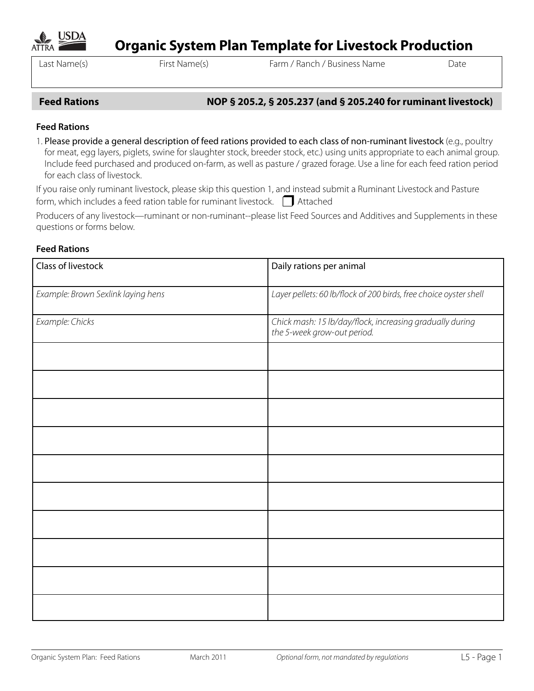

Last Name(s) First Name(s) Farm / Ranch / Business Name Date

## **Feed Rations NOP § 205.2, § 205.237 (and § 205.240 for ruminant livestock)**

## **Feed Rations**

1. Please provide a general description of feed rations provided to each class of non-ruminant livestock (e.g., poultry for meat, egg layers, piglets, swine for slaughter stock, breeder stock, etc.) using units appropriate to each animal group. Include feed purchased and produced on-farm, as well as pasture / grazed forage. Use a line for each feed ration period for each class of livestock.

If you raise only ruminant livestock, please skip this question 1, and instead submit a Ruminant Livestock and Pasture form, which includes a feed ration table for ruminant livestock.  $\Box$  Attached

Producers of any livestock—ruminant or non-ruminant--please list Feed Sources and Additives and Supplements in these questions or forms below.

### **Feed Rations**

| Class of livestock                 | Daily rations per animal                                                                |
|------------------------------------|-----------------------------------------------------------------------------------------|
| Example: Brown Sexlink laying hens | Layer pellets: 60 lb/flock of 200 birds, free choice oyster shell                       |
| Example: Chicks                    | Chick mash: 15 lb/day/flock, increasing gradually during<br>the 5-week grow-out period. |
|                                    |                                                                                         |
|                                    |                                                                                         |
|                                    |                                                                                         |
|                                    |                                                                                         |
|                                    |                                                                                         |
|                                    |                                                                                         |
|                                    |                                                                                         |
|                                    |                                                                                         |
|                                    |                                                                                         |
|                                    |                                                                                         |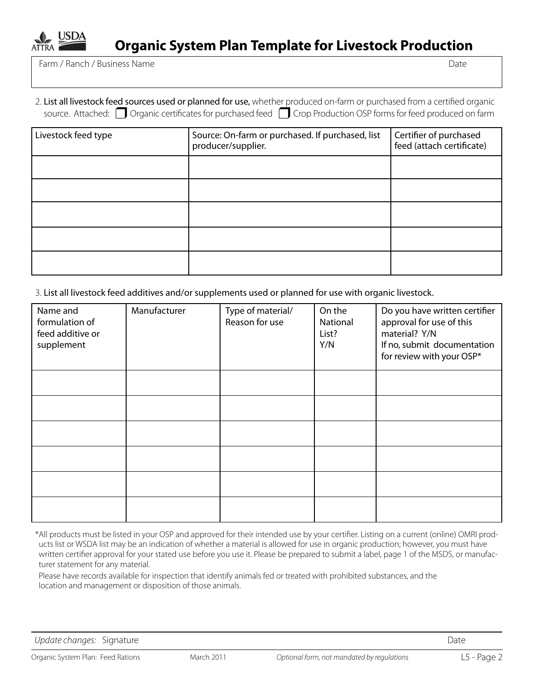

Farm / Ranch / Business Name Date

|  | 2. List all livestock feed sources used or planned for use, whether produced on-farm or purchased from a certified organic |
|--|----------------------------------------------------------------------------------------------------------------------------|
|  | source. Attached: Organic certificates for purchased feed Corp Production OSP forms for feed produced on farm              |

| Livestock feed type | Source: On-farm or purchased. If purchased, list<br>producer/supplier. | Certifier of purchased<br>feed (attach certificate) |
|---------------------|------------------------------------------------------------------------|-----------------------------------------------------|
|                     |                                                                        |                                                     |
|                     |                                                                        |                                                     |
|                     |                                                                        |                                                     |
|                     |                                                                        |                                                     |
|                     |                                                                        |                                                     |

3. List all livestock feed additives and/or supplements used or planned for use with organic livestock.

| Name and<br>formulation of<br>feed additive or<br>supplement | Manufacturer | Type of material/<br>Reason for use | On the<br>National<br>List?<br>Y/N | Do you have written certifier<br>approval for use of this<br>material? Y/N<br>If no, submit documentation<br>for review with your OSP* |
|--------------------------------------------------------------|--------------|-------------------------------------|------------------------------------|----------------------------------------------------------------------------------------------------------------------------------------|
|                                                              |              |                                     |                                    |                                                                                                                                        |
|                                                              |              |                                     |                                    |                                                                                                                                        |
|                                                              |              |                                     |                                    |                                                                                                                                        |
|                                                              |              |                                     |                                    |                                                                                                                                        |
|                                                              |              |                                     |                                    |                                                                                                                                        |
|                                                              |              |                                     |                                    |                                                                                                                                        |

\*All products must be listed in your OSP and approved for their intended use by your certifier. Listing on a current (online) OMRI products list or WSDA list may be an indication of whether a material is allowed for use in organic production; however, you must have written certifier approval for your stated use before you use it. Please be prepared to submit a label, page 1 of the MSDS, or manufacturer statement for any material.

Please have records available for inspection that identify animals fed or treated with prohibited substances, and the location and management or disposition of those animals.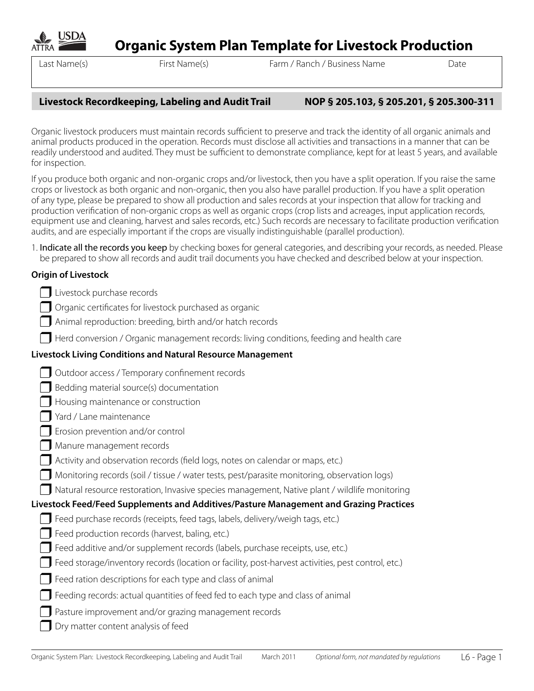

Last Name(s) First Name(s) Farm / Ranch / Business Name Date

## **Livestock Recordkeeping, Labeling and Audit Trail NOP § 205.103, § 205.201, § 205.300-311**

Organic livestock producers must maintain records sufficient to preserve and track the identity of all organic animals and animal products produced in the operation. Records must disclose all activities and transactions in a manner that can be readily understood and audited. They must be sufficient to demonstrate compliance, kept for at least 5 years, and available for inspection.

If you produce both organic and non-organic crops and/or livestock, then you have a split operation. If you raise the same crops or livestock as both organic and non-organic, then you also have parallel production. If you have a split operation of any type, please be prepared to show all production and sales records at your inspection that allow for tracking and production verification of non-organic crops as well as organic crops (crop lists and acreages, input application records, equipment use and cleaning, harvest and sales records, etc.) Such records are necessary to facilitate production verification audits, and are especially important if the crops are visually indistinguishable (parallel production).

1. Indicate all the records you keep by checking boxes for general categories, and describing your records, as needed. Please be prepared to show all records and audit trail documents you have checked and described below at your inspection.

# **Origin of Livestock**

Livestock purchase records

 $\Box$  Organic certificates for livestock purchased as organic

 $\Box$  Animal reproduction: breeding, birth and/or hatch records

 $\Box$  Herd conversion / Organic management records: living conditions, feeding and health care

# **Livestock Living Conditions and Natural Resource Management**

- $\Box$  Outdoor access / Temporary confinement records
- Bedding material source(s) documentation
- Housing maintenance or construction
- Yard / Lane maintenance
- Erosion prevention and/or control
- Manure management records
- Activity and observation records (field logs, notes on calendar or maps, etc.)
- $\Box$  Monitoring records (soil / tissue / water tests, pest/parasite monitoring, observation logs)
- $\Box$  Natural resource restoration, Invasive species management, Native plant / wildlife monitoring

## **Livestock Feed/Feed Supplements and Additives/Pasture Management and Grazing Practices**

- $\Box$  Feed purchase records (receipts, feed tags, labels, delivery/weigh tags, etc.)
- Feed production records (harvest, baling, etc.)
- Feed additive and/or supplement records (labels, purchase receipts, use, etc.)
- Feed storage/inventory records (location or facility, post-harvest activities, pest control, etc.)
- Feed ration descriptions for each type and class of animal
- Feeding records: actual quantities of feed fed to each type and class of animal
- Pasture improvement and/or grazing management records
- Dry matter content analysis of feed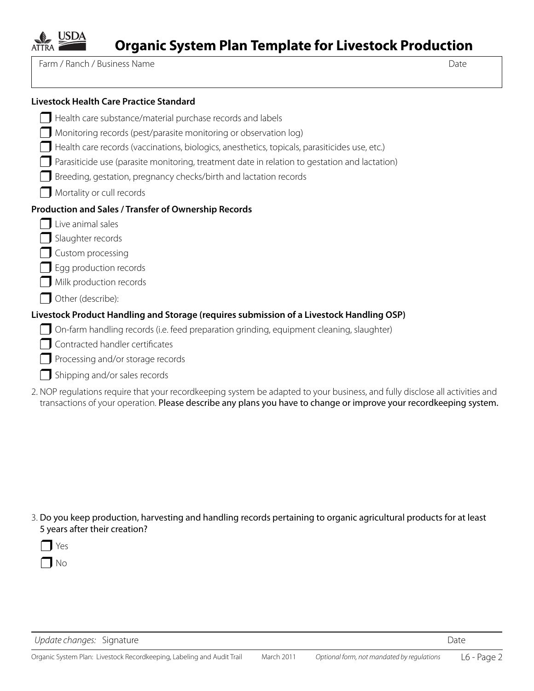

## **Livestock Health Care Practice Standard**

| Health care substance/material purchase records and labels<br>Monitoring records (pest/parasite monitoring or observation log)<br>Health care records (vaccinations, biologics, anesthetics, topicals, parasiticides use, etc.)<br>Parasiticide use (parasite monitoring, treatment date in relation to gestation and lactation) |
|----------------------------------------------------------------------------------------------------------------------------------------------------------------------------------------------------------------------------------------------------------------------------------------------------------------------------------|
| Breeding, gestation, pregnancy checks/birth and lactation records<br>Mortality or cull records                                                                                                                                                                                                                                   |
| Production and Sales / Transfer of Ownership Records                                                                                                                                                                                                                                                                             |
| Live animal sales<br>Slaughter records                                                                                                                                                                                                                                                                                           |
| Custom processing<br>Egg production records                                                                                                                                                                                                                                                                                      |
| Milk production records                                                                                                                                                                                                                                                                                                          |
| Other (describe):                                                                                                                                                                                                                                                                                                                |
| Livestock Product Handling and Storage (requires submission of a Livestock Handling OSP)<br>On-farm handling records (i.e. feed preparation grinding, equipment cleaning, slaughter)<br>Contracted handler certificates<br>Processing and/or storage records<br>Shipping and/or sales records                                    |
|                                                                                                                                                                                                                                                                                                                                  |

2. NOP regulations require that your recordkeeping system be adapted to your business, and fully disclose all activities and transactions of your operation. Please describe any plans you have to change or improve your recordkeeping system.

3. Do you keep production, harvesting and handling records pertaining to organic agricultural products for at least 5 years after their creation?



No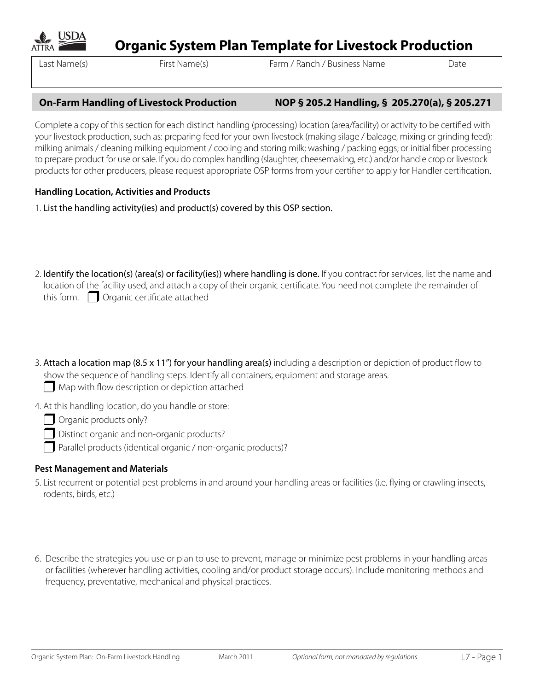

Last Name(s) First Name(s) Farm / Ranch / Business Name Date

# **On-Farm Handling of Livestock Production NOP § 205.2 Handling, § 205.270(a), § 205.271**

Complete a copy of this section for each distinct handling (processing) location (area/facility) or activity to be certified with your livestock production, such as: preparing feed for your own livestock (making silage / baleage, mixing or grinding feed); milking animals / cleaning milking equipment / cooling and storing milk; washing / packing eggs; or initial fiber processing to prepare product for use or sale. If you do complex handling (slaughter, cheesemaking, etc.) and/or handle crop or livestock products for other producers, please request appropriate OSP forms from your certifier to apply for Handler certification.

# **Handling Location, Activities and Products**

1. List the handling activity(ies) and product(s) covered by this OSP section.

- 2. Identify the location(s) (area(s) or facility(ies)) where handling is done. If you contract for services, list the name and location of the facility used, and attach a copy of their organic certificate. You need not complete the remainder of this form.  $\Box$  Organic certificate attached
- 3. Attach a location map (8.5 x 11") for your handling area(s) including a description or depiction of product flow to show the sequence of handling steps. Identify all containers, equipment and storage areas.  $\Box$  Map with flow description or depiction attached
- 4. At this handling location, do you handle or store:
	- Organic products only?
	- Distinct organic and non-organic products?
	- Parallel products (identical organic / non-organic products)?

# **Pest Management and Materials**

- 5. List recurrent or potential pest problems in and around your handling areas or facilities (i.e. flying or crawling insects, rodents, birds, etc.)
- 6. Describe the strategies you use or plan to use to prevent, manage or minimize pest problems in your handling areas or facilities (wherever handling activities, cooling and/or product storage occurs). Include monitoring methods and frequency, preventative, mechanical and physical practices.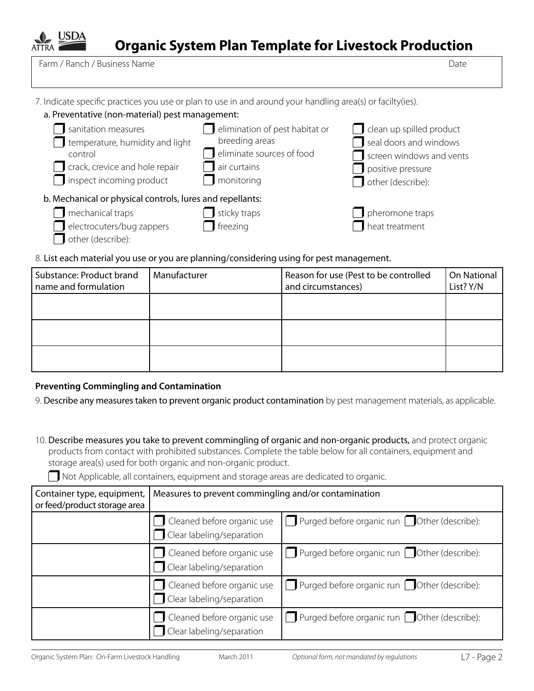Farm / Ranch / Business Name Date

7. Indicate specific practices you use or plan to use in and around your handling area(s) or facilty(ies).

| a. Preventative (non-material) pest management: |
|-------------------------------------------------|
|-------------------------------------------------|

| sanitation measures<br>temperature, humidity and light<br>control<br>crack, crevice and hole repair<br>$\Box$ inspect incoming product | elimination of pest habitat or<br>breeding areas<br>eliminate sources of food<br>$\Box$ air curtains<br>$\blacksquare$ monitoring | clean up spilled product<br>seal doors and windows<br>screen windows and vents<br>positive pressure<br>$\Box$ other (describe): |
|----------------------------------------------------------------------------------------------------------------------------------------|-----------------------------------------------------------------------------------------------------------------------------------|---------------------------------------------------------------------------------------------------------------------------------|
| b. Mechanical or physical controls, lures and repellants:                                                                              |                                                                                                                                   |                                                                                                                                 |
| mechanical traps                                                                                                                       | sticky traps                                                                                                                      | pheromone traps                                                                                                                 |
| electrocuters/bug zappers<br>other (describe):                                                                                         | $\mathsf{\overline{\mathsf{I}}}$ freezing                                                                                         | heat treatment                                                                                                                  |

8. List each material you use or you are planning/considering using for pest management.

| Substance: Product brand<br>name and formulation | Manufacturer | Reason for use (Pest to be controlled<br>and circumstances) | On National<br>List? Y/N |
|--------------------------------------------------|--------------|-------------------------------------------------------------|--------------------------|
|                                                  |              |                                                             |                          |
|                                                  |              |                                                             |                          |
|                                                  |              |                                                             |                          |

# **Preventing Commingling and Contamination**

9. Describe any measures taken to prevent organic product contamination by pest management materials, as applicable.

10. Describe measures you take to prevent commingling of organic and non-organic products, and protect organic products from contact with prohibited substances. Complete the table below for all containers, equipment and storage area(s) used for both organic and non-organic product.

 $\Box$  Not Applicable, all containers, equipment and storage areas are dedicated to organic.

| Container type, equipment,<br>or feed/product storage area | Measures to prevent commingling and/or contamination    |                                                           |
|------------------------------------------------------------|---------------------------------------------------------|-----------------------------------------------------------|
|                                                            | Cleaned before organic use<br>Clear labeling/separation | $\Box$ Purged before organic run $\Box$ Other (describe): |
|                                                            | Cleaned before organic use<br>Clear labeling/separation | Purged before organic run $\bigcap$ Other (describe):     |
|                                                            | Cleaned before organic use<br>Clear labeling/separation | Purged before organic run $\bigcap$ Other (describe):     |
|                                                            | Cleaned before organic use<br>Clear labeling/separation | $\Box$ Purged before organic run $\Box$ Other (describe): |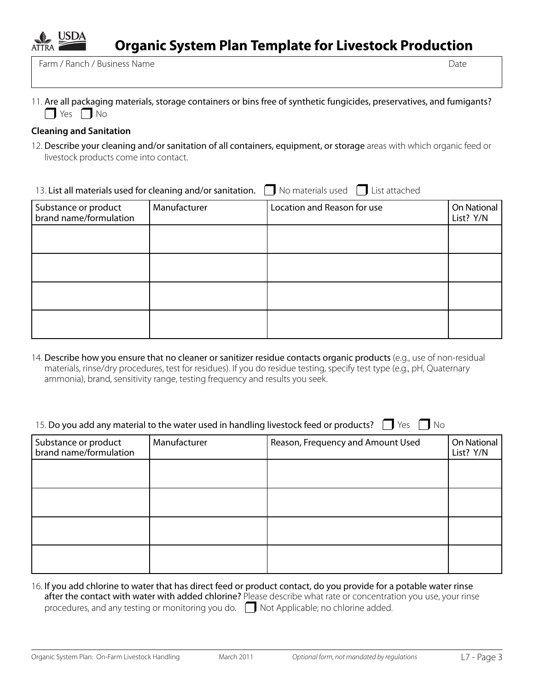

11. Are all packaging materials, storage containers or bins free of synthetic fungicides, preservatives, and fumigants?  $\Box$  Yes  $\Box$  No

## **Cleaning and Sanitation**

12. Describe your cleaning and/or sanitation of all containers, equipment, or storage areas with which organic feed or livestock products come into contact.

| 13. List all materials used for cleaning and/or sanitation. $\Box$ No materials used $\Box$ List attached |  |
|-----------------------------------------------------------------------------------------------------------|--|
|-----------------------------------------------------------------------------------------------------------|--|

| Substance or product<br>brand name/formulation | Manufacturer | Location and Reason for use | On National<br>List? Y/N |
|------------------------------------------------|--------------|-----------------------------|--------------------------|
|                                                |              |                             |                          |
|                                                |              |                             |                          |
|                                                |              |                             |                          |
|                                                |              |                             |                          |

14. Describe how you ensure that no cleaner or sanitizer residue contacts organic products (e.g., use of non-residual materials, rinse/dry procedures, test for residues). If you do residue testing, specify test type (e.g., pH, Quaternary ammonia), brand, sensitivity range, testing frequency and results you seek.

# 15. Do you add any material to the water used in handling livestock feed or products?  $\Box$  Yes  $\Box$  No

| Substance or product<br>brand name/formulation | Manufacturer | Reason, Frequency and Amount Used | On National<br>List? Y/N |
|------------------------------------------------|--------------|-----------------------------------|--------------------------|
|                                                |              |                                   |                          |
|                                                |              |                                   |                          |
|                                                |              |                                   |                          |
|                                                |              |                                   |                          |

## 16. If you add chlorine to water that has direct feed or product contact, do you provide for a potable water rinse after the contact with water with added chlorine? Please describe what rate or concentration you use, your rinse procedures, and any testing or monitoring you do.  $\Box$  Not Applicable; no chlorine added.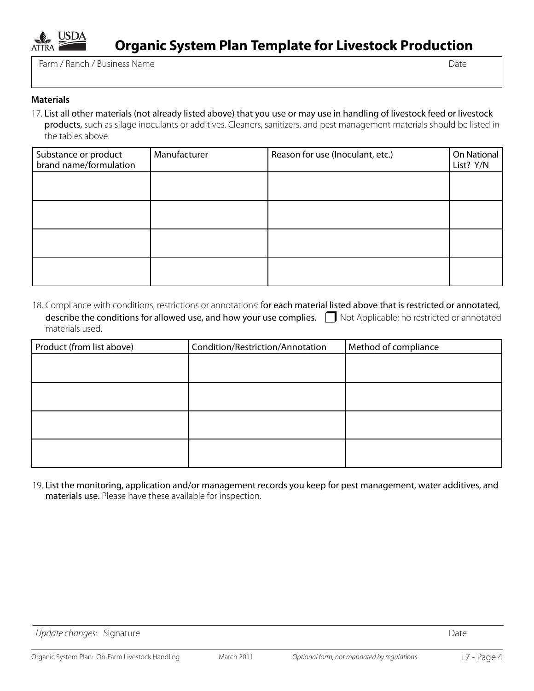

### **Materials**

17. List all other materials (not already listed above) that you use or may use in handling of livestock feed or livestock

products, such as silage inoculants or additives. Cleaners, sanitizers, and pest management materials should be listed in the tables above.

| Substance or product<br>brand name/formulation | Manufacturer | Reason for use (Inoculant, etc.) | On National<br>List? Y/N |
|------------------------------------------------|--------------|----------------------------------|--------------------------|
|                                                |              |                                  |                          |
|                                                |              |                                  |                          |
|                                                |              |                                  |                          |
|                                                |              |                                  |                          |

18. Compliance with conditions, restrictions or annotations: for each material listed above that is restricted or annotated, describe the conditions for allowed use, and how your use complies.  $\Box$  Not Applicable; no restricted or annotated materials used.

| Product (from list above) | Condition/Restriction/Annotation | Method of compliance |
|---------------------------|----------------------------------|----------------------|
|                           |                                  |                      |
|                           |                                  |                      |
|                           |                                  |                      |
|                           |                                  |                      |
|                           |                                  |                      |
|                           |                                  |                      |
|                           |                                  |                      |
|                           |                                  |                      |

19. List the monitoring, application and/or management records you keep for pest management, water additives, and materials use. Please have these available for inspection.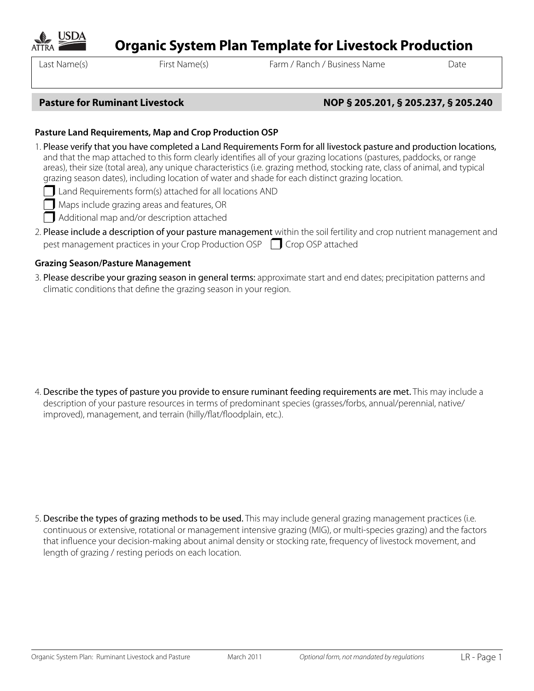

Last Name(s) First Name(s) Farm / Ranch / Business Name Date

**Pasture for Ruminant Livestock NOP § 205.201, § 205.237, § 205.240**

# **Pasture Land Requirements, Map and Crop Production OSP**

1. Please verify that you have completed a Land Requirements Form for all livestock pasture and production locations, and that the map attached to this form clearly identifies all of your grazing locations (pastures, paddocks, or range areas), their size (total area), any unique characteristics (i.e. grazing method, stocking rate, class of animal, and typical grazing season dates), including location of water and shade for each distinct grazing location.

**Land Requirements form(s) attached for all locations AND** 

Maps include grazing areas and features, OR

Additional map and/or description attached

2. Please include a description of your pasture management within the soil fertility and crop nutrient management and pest management practices in your Crop Production OSP  $\Box$  Crop OSP attached

## **Grazing Season/Pasture Management**

3. Please describe your grazing season in general terms: approximate start and end dates; precipitation patterns and climatic conditions that define the grazing season in your region.

4. Describe the types of pasture you provide to ensure ruminant feeding requirements are met. This may include a description of your pasture resources in terms of predominant species (grasses/forbs, annual/perennial, native/ improved), management, and terrain (hilly/flat/floodplain, etc.).

5. Describe the types of grazing methods to be used. This may include general grazing management practices (i.e. continuous or extensive, rotational or management intensive grazing (MIG), or multi-species grazing) and the factors that influence your decision-making about animal density or stocking rate, frequency of livestock movement, and length of grazing / resting periods on each location.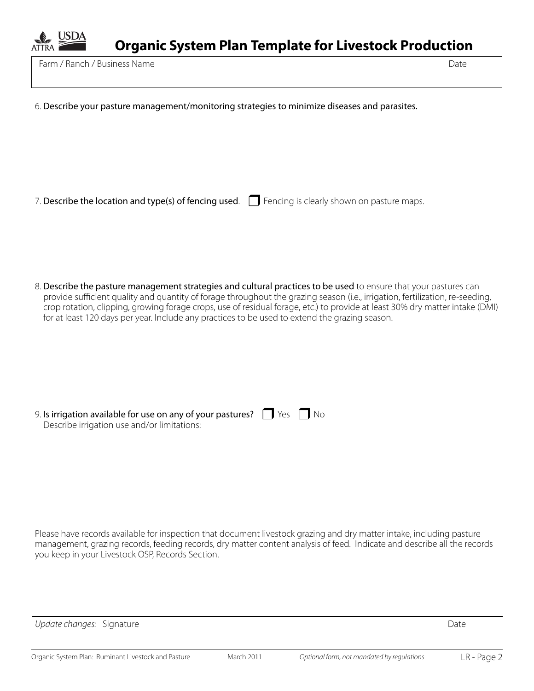

Farm / Ranch / Business Name Date

6. Describe your pasture management/monitoring strategies to minimize diseases and parasites.

7. Describe the location and type(s) of fencing used.  $\Box$  Fencing is clearly shown on pasture maps.

8. Describe the pasture management strategies and cultural practices to be used to ensure that your pastures can provide sufficient quality and quantity of forage throughout the grazing season (i.e., irrigation, fertilization, re-seeding, crop rotation, clipping, growing forage crops, use of residual forage, etc.) to provide at least 30% dry matter intake (DMI) for at least 120 days per year. Include any practices to be used to extend the grazing season.

| 9. Is irrigation available for use on any of your pastures? $\Box$ Yes $\Box$ No |  |
|----------------------------------------------------------------------------------|--|
| Describe irrigation use and/or limitations:                                      |  |

Please have records available for inspection that document livestock grazing and dry matter intake, including pasture management, grazing records, feeding records, dry matter content analysis of feed. Indicate and describe all the records you keep in your Livestock OSP, Records Section.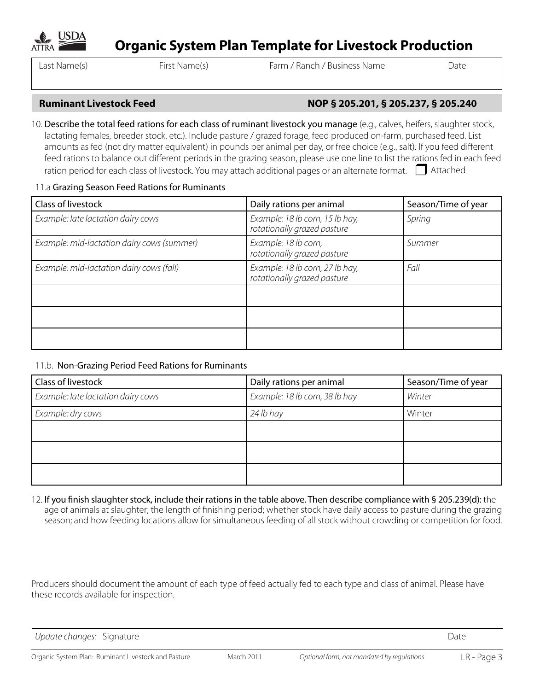

Last Name(s) First Name(s) Farm / Ranch / Business Name Date

# **Ruminant Livestock Feed NOP § 205.201, § 205.237, § 205.240**

10. Describe the total feed rations for each class of ruminant livestock you manage (e.g., calves, heifers, slaughter stock, lactating females, breeder stock, etc.). Include pasture / grazed forage, feed produced on-farm, purchased feed. List amounts as fed (not dry matter equivalent) in pounds per animal per day, or free choice (e.g., salt). If you feed different feed rations to balance out different periods in the grazing season, please use one line to list the rations fed in each feed ration period for each class of livestock. You may attach additional pages or an alternate format.  $\Box$  Attached

# 11.a Grazing Season Feed Rations for Ruminants

| Class of livestock                         | Daily rations per animal                                       | Season/Time of year |
|--------------------------------------------|----------------------------------------------------------------|---------------------|
| Example: late lactation dairy cows         | Example: 18 lb corn, 15 lb hay,<br>rotationally grazed pasture | Spring              |
| Example: mid-lactation dairy cows (summer) | Example: 18 lb corn,<br>rotationally grazed pasture            | Summer              |
| Example: mid-lactation dairy cows (fall)   | Example: 18 lb corn, 27 lb hay,<br>rotationally grazed pasture | Fall                |
|                                            |                                                                |                     |
|                                            |                                                                |                     |
|                                            |                                                                |                     |

# 11.b. Non-Grazing Period Feed Rations for Ruminants

| Class of livestock                 | Daily rations per animal       | Season/Time of year |
|------------------------------------|--------------------------------|---------------------|
| Example: late lactation dairy cows | Example: 18 lb corn, 38 lb hay | Winter              |
| Example: dry cows                  | 24 lb hay                      | Winter              |
|                                    |                                |                     |
|                                    |                                |                     |
|                                    |                                |                     |

12. If you finish slaughter stock, include their rations in the table above. Then describe compliance with § 205.239(d): the age of animals at slaughter; the length of finishing period; whether stock have daily access to pasture during the grazing season; and how feeding locations allow for simultaneous feeding of all stock without crowding or competition for food.

Producers should document the amount of each type of feed actually fed to each type and class of animal. Please have these records available for inspection.

*Update changes:* Signature Date